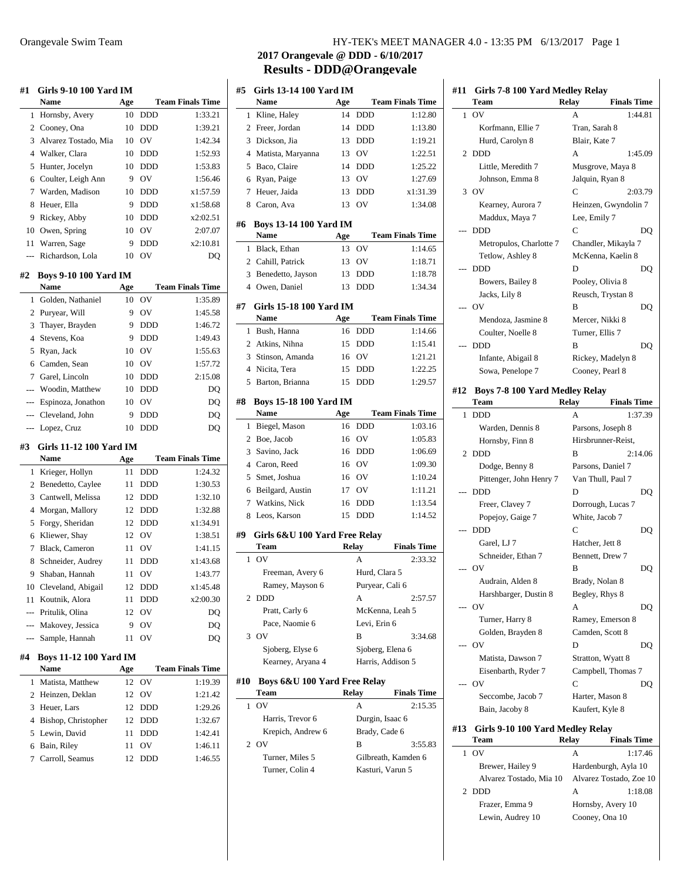| #1                       | <b>Girls 9-10 100 Yard IM</b>               |     |            |                         | #: |
|--------------------------|---------------------------------------------|-----|------------|-------------------------|----|
|                          | Name                                        | Age |            | <b>Team Finals Time</b> |    |
| 1                        | Hornsby, Avery                              | 10  | <b>DDD</b> | 1:33.21                 |    |
|                          | 2 Cooney, Ona                               | 10  | DDD        | 1:39.21                 |    |
|                          | 3 Alvarez Tostado, Mia                      | 10  | OV         | 1:42.34                 |    |
|                          | 4 Walker, Clara                             | 10  | <b>DDD</b> | 1:52.93                 |    |
| 5                        | Hunter, Jocelyn                             | 10  | DDD        | 1:53.83                 |    |
| 6                        | Coulter, Leigh Ann                          | 9   | OV         | 1:56.46                 |    |
| 7                        | Warden, Madison                             | 10  | DDD        | x1:57.59                |    |
| 8                        | Heuer, Ella                                 | 9   | <b>DDD</b> | x1:58.68                |    |
| 9                        | Rickey, Abby                                | 10  | DDD        | x2:02.51                |    |
| 10                       | Owen, Spring                                | 10  | OV         | 2:07.07                 | #1 |
| 11                       | Warren, Sage                                | 9   | DDD        | x2:10.81                |    |
| $\overline{a}$           | Richardson, Lola                            | 10  | OV         | DO                      |    |
|                          |                                             |     |            |                         |    |
| #2                       | <b>Boys 9-10 100 Yard IM</b><br><b>Name</b> | Age |            | <b>Team Finals Time</b> |    |
| 1                        | Golden, Nathaniel                           | 10  | OV         | 1:35.89                 |    |
|                          | 2 Puryear, Will                             | 9   | OV         | 1:45.58                 | #  |
| 3                        | Thayer, Brayden                             | 9   | DDD        | 1:46.72                 |    |
| 4                        | Stevens, Koa                                | 9   | <b>DDD</b> | 1:49.43                 |    |
| 5                        | Ryan, Jack                                  | 10  | OV         | 1:55.63                 |    |
|                          | 6 Camden, Sean                              | 10  | OV         | 1:57.72                 |    |
| 7                        | Garel, Lincoln                              | 10  | DDD        | 2:15.08                 |    |
| $---$                    | Woodin, Matthew                             | 10  | DDD        | DQ                      |    |
| ---                      | Espinoza, Jonathon                          | 10  | OV         | DQ                      | #  |
| $\overline{a}$           | Cleveland, John                             | 9   | DDD        | DQ                      |    |
|                          | Lopez, Cruz                                 | 10  | <b>DDD</b> | DQ                      |    |
|                          |                                             |     |            |                         |    |
| #3                       | Girls 11-12 100 Yard IM                     |     |            |                         |    |
|                          | Name                                        | Age |            | <b>Team Finals Time</b> |    |
| 1                        | Krieger, Hollyn                             | 11  | DDD        | 1:24.32                 |    |
| $\overline{2}$           | Benedetto, Caylee                           | 11  | DDD        | 1:30.53                 |    |
|                          | 3 Cantwell, Melissa                         | 12  | DDD        | 1:32.10                 |    |
| 4                        | Morgan, Mallory                             | 12  | <b>DDD</b> | 1:32.88                 |    |
| 5                        | Forgy, Sheridan                             | 12  | <b>DDD</b> | x1:34.91                |    |
| 6                        | Kliewer, Shay                               | 12  | OV         | 1:38.51                 | #  |
| 7                        | Black, Cameron                              | 11  | OV         | 1:41.15                 |    |
| 8                        | Schneider, Audrey                           | 11  | <b>DDD</b> | x1:43.68                |    |
|                          | 9 Shaban, Hannah                            |     | 11 OV      | 1:43.77                 |    |
|                          | 10 Cleveland, Abigail                       | 12  | DDD        | x1:45.48                |    |
| 11                       | Koutnik, Alora                              | 11  | DDD        | x2:00.30                |    |
| $\overline{\phantom{a}}$ | Pritulik, Olina                             | 12  | OV         | DQ                      |    |
|                          | --- Makovey, Jessica                        | 9   | OV         | DQ                      |    |
|                          | --- Sample, Hannah                          | 11  | ov         | DQ                      |    |
| #4                       | <b>Boys 11-12 100 Yard IM</b>               |     |            |                         |    |
|                          | Name                                        | Age |            | <b>Team Finals Time</b> |    |
| 1                        | Matista, Matthew                            | 12  | OV         | 1:19.39                 | #  |
|                          | 2 Heinzen, Deklan                           | 12  | OV         | 1:21.42                 |    |
|                          | 3 Heuer, Lars                               | 12  | DDD        | 1:29.26                 |    |
|                          | 4 Bishop, Christopher                       | 12  | DDD        | 1:32.67                 |    |
| 5                        | Lewin, David                                | 11  | DDD        | 1:42.41                 |    |
| 6                        | Bain, Riley                                 | 11  | OV         | 1:46.11                 |    |

7 Carroll, Seamus 12 DDD 1:46.55

### Orangevale Swim Team HY-TEK's MEET MANAGER 4.0 - 13:35 PM 6/13/2017 Page 1

# **2017 Orangevale @ DDD - 6/10/2017 Results - DDD@Orangevale**

| #5             | Girls 13-14 100 Yard IM               |     |                   |                         |
|----------------|---------------------------------------|-----|-------------------|-------------------------|
|                | Name                                  | Age |                   | <b>Team Finals Time</b> |
| 1              | Kline, Haley                          | 14  | <b>DDD</b>        | 1:12.80                 |
| $\overline{2}$ | Freer, Jordan                         | 14  | <b>DDD</b>        | 1:13.80                 |
| 3              | Dickson, Jia                          | 13  | <b>DDD</b>        | 1:19.21                 |
| 4              | Matista, Maryanna                     | 13  | OV                | 1:22.51                 |
| 5              | Baco, Claire                          | 14  | <b>DDD</b>        | 1:25.22                 |
| 6              | Ryan, Paige                           | 13  | <b>OV</b>         | 1:27.69                 |
| 7              | Heuer, Jaida                          | 13  | <b>DDD</b>        | x1:31.39                |
| 8              | Caron, Ava                            | 13  | OV                | 1:34.08                 |
|                |                                       |     |                   |                         |
| #6             | <b>Boys 13-14 100 Yard IM</b><br>Name | Age |                   | <b>Team Finals Time</b> |
| 1              | Black, Ethan                          | 13  | OV                | 1:14.65                 |
|                |                                       | 13  |                   |                         |
|                | 2 Cahill, Patrick                     |     | OV                | 1:18.71<br>1:18.78      |
| 3              | Benedetto, Jayson                     | 13  | <b>DDD</b>        |                         |
| 4              | Owen, Daniel                          | 13  | <b>DDD</b>        | 1:34.34                 |
| #7             | Girls 15-18 100 Yard IM               |     |                   |                         |
|                | Name                                  | Age |                   | <b>Team Finals Time</b> |
| 1              | Bush, Hanna                           | 16  | <b>DDD</b>        | 1:14.66                 |
|                | 2 Atkins, Nihna                       | 15  | <b>DDD</b>        | 1:15.41                 |
| 3              | Stinson, Amanda                       | 16  | OV                | 1:21.21                 |
| $\overline{4}$ | Nicita, Tera                          | 15  | <b>DDD</b>        | 1:22.25                 |
| 5              | Barton, Brianna                       | 15  | <b>DDD</b>        | 1:29.57                 |
|                |                                       |     |                   |                         |
| #8             | <b>Boys 15-18 100 Yard IM</b>         |     |                   |                         |
|                | <b>Name</b>                           | Age |                   | <b>Team Finals Time</b> |
| 1              | Biegel, Mason                         | 16  | <b>DDD</b>        | 1:03.16                 |
| 2              | Boe, Jacob                            | 16  | OV                | 1:05.83                 |
| 3              | Savino, Jack                          | 16  | <b>DDD</b>        | 1:06.69                 |
|                | 4 Caron, Reed                         | 16  | <b>OV</b>         | 1:09.30                 |
| 5              | Smet, Joshua                          | 16  | OV                | 1:10.24                 |
| 6              | Beilgard, Austin                      | 17  | OV                | 1:11.21                 |
| 7              | Watkins, Nick                         | 16  | <b>DDD</b>        | 1:13.54                 |
| 8              | Leos, Karson                          | 15  | <b>DDD</b>        | 1:14.52                 |
| #9             | Girls 6&U 100 Yard Free Relay         |     |                   |                         |
|                | Team                                  |     | <b>Relay</b>      | <b>Finals Time</b>      |
| 1              | OV                                    |     | А                 | 2:33.32                 |
|                | Freeman, Avery 6                      |     | Hurd, Clara 5     |                         |
|                | Ramey, Mayson 6                       |     | Puryear, Cali 6   |                         |
| 2              | <b>DDD</b>                            |     | А                 | 2:57.57                 |
|                | Pratt, Carly 6                        |     | McKenna, Leah 5   |                         |
|                | Pace, Naomie 6                        |     | Levi, Erin 6      |                         |
| 3              | OV                                    |     | B                 | 3:34.68                 |
|                | Sjoberg, Elyse 6                      |     | Sjoberg, Elena 6  |                         |
|                | Kearney, Aryana 4                     |     | Harris, Addison 5 |                         |
|                |                                       |     |                   |                         |
| #10            | Boys 6&U 100 Yard Free Relay          |     |                   |                         |
|                | Team                                  |     | <b>Relay</b>      | <b>Finals Time</b>      |
| 1              | OV                                    |     | А                 | 2:15.35                 |
|                | Harris, Trevor 6                      |     | Durgin, Isaac 6   |                         |
|                | Krepich, Andrew 6                     |     | Brady, Cade 6     |                         |
| $\overline{c}$ | O <sub>V</sub>                        |     | B                 | 3:55.83                 |
|                | Turner, Miles 5                       |     |                   | Gilbreath, Kamden 6     |
|                | Turner, Colin 4                       |     | Kasturi, Varun 5  |                         |
|                |                                       |     |                   |                         |

|     | Girls 7-8 100 Yard Medley Relay<br>Team       | <b>Finals Time</b><br>Relay        |
|-----|-----------------------------------------------|------------------------------------|
| 1   | OV                                            | 1:44.81<br>A                       |
|     | Korfmann, Ellie 7                             | Tran, Sarah 8                      |
|     | Hurd, Carolyn 8                               | Blair, Kate 7                      |
| 2   | <b>DDD</b>                                    | А<br>1:45.09                       |
|     | Little, Meredith 7                            | Musgrove, Maya 8                   |
|     |                                               |                                    |
|     | Johnson, Emma 8                               | Jalquin, Ryan 8                    |
|     | $3$ OV                                        | C<br>2:03.79                       |
|     | Kearney, Aurora 7                             | Heinzen, Gwyndolin 7               |
|     | Maddux, Maya 7                                | Lee, Emily 7                       |
|     | <b>DDD</b>                                    | C<br>DO                            |
|     | Metropulos, Charlotte 7                       | Chandler, Mikayla 7                |
|     | Tetlow, Ashley 8                              | McKenna, Kaelin 8                  |
|     | <b>DDD</b>                                    | D<br>DQ                            |
|     | Bowers, Bailey 8                              | Pooley, Olivia 8                   |
|     | Jacks, Lily 8                                 | Reusch, Trystan 8                  |
|     | O <sub>V</sub>                                | B<br>DQ                            |
|     | Mendoza, Jasmine 8                            | Mercer, Nikki 8                    |
|     | Coulter, Noelle 8                             | Turner, Ellis 7                    |
|     | <b>DDD</b>                                    | B                                  |
|     |                                               | DQ                                 |
|     | Infante, Abigail 8                            | Rickey, Madelyn 8                  |
|     | Sowa, Penelope 7                              | Cooney, Pearl 8                    |
| #12 | <b>Boys 7-8 100 Yard Medley Relay</b><br>Team | <b>Finals Time</b><br>Relay        |
| 1   | <b>DDD</b>                                    | 1:37.39<br>А                       |
|     | Warden, Dennis 8                              | Parsons, Joseph 8                  |
|     | Hornsby, Finn 8                               | Hirsbrunner-Reist,                 |
| 2   | <b>DDD</b>                                    | B<br>2:14.06                       |
|     | Dodge, Benny 8                                | Parsons, Daniel 7                  |
|     |                                               |                                    |
|     | Pittenger, John Henry 7                       | Van Thull, Paul 7                  |
|     | <b>DDD</b>                                    | D<br>DQ                            |
|     | Freer, Clavey 7                               | Dorrough, Lucas 7                  |
|     | Popejoy, Gaige 7                              | White, Jacob 7                     |
|     | <b>DDD</b>                                    | C<br>DO                            |
|     | Garel, LJ 7                                   | Hatcher, Jett 8                    |
|     | Schneider, Ethan 7                            | Bennett, Drew 7                    |
|     | OV                                            | в<br>DQ                            |
|     | Audrain, Alden 8                              | Brady, Nolan 8                     |
|     | Harshbarger, Dustin 8                         | Begley, Rhys 8                     |
|     | OV                                            | А<br>DQ                            |
|     | Turner, Harry 8                               | Ramey, Emerson 8                   |
|     |                                               | Camden, Scott 8                    |
|     | Golden, Brayden 8                             |                                    |
|     | <b>OV</b>                                     | D<br>DQ                            |
|     | Matista, Dawson 7                             | Stratton, Wyatt 8                  |
|     | Eisenbarth, Ryder 7                           | Campbell, Thomas 7                 |
|     | <b>OV</b>                                     | C<br>DQ                            |
|     | Seccombe, Jacob 7                             | Harter, Mason 8                    |
|     | Bain, Jacoby 8                                | Kaufert, Kyle 8                    |
|     | Girls 9-10 100 Yard Medley Relay              |                                    |
|     |                                               |                                    |
|     | Team                                          | <b>Finals Time</b><br><b>Relay</b> |
| 1   | ov                                            | A<br>1:17.46                       |
|     | Brewer, Hailey 9                              | Hardenburgh, Ayla 10               |
| #13 | Alvarez Tostado, Mia 10                       | Alvarez Tostado, Zoe 10            |

Frazer, Emma 9 Hornsby, Avery 10 Lewin, Audrey 10 Cooney, Ona 10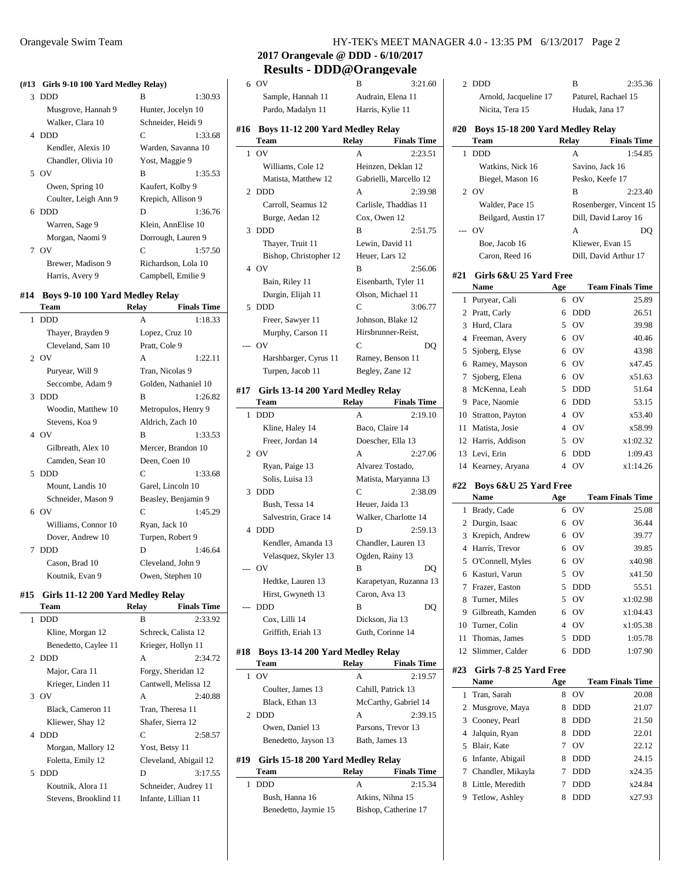#### **(#13 Girls 9-10 100 Yard Medley Relay)**

|   | GHIS 2-10 100 Tard McGicy Relay |                     |         |
|---|---------------------------------|---------------------|---------|
| 3 | DDD                             | в                   | 1:30.93 |
|   | Musgrove, Hannah 9              | Hunter, Jocelyn 10  |         |
|   | Walker, Clara 10                | Schneider, Heidi 9  |         |
|   | 4 DDD                           | C                   | 1:33.68 |
|   | Kendler, Alexis 10              | Warden, Savanna 10  |         |
|   | Chandler, Olivia 10             | Yost, Maggie 9      |         |
|   | 5 OV                            | B                   | 1:35.53 |
|   | Owen, Spring 10                 | Kaufert, Kolby 9    |         |
|   | Coulter, Leigh Ann 9            | Krepich, Allison 9  |         |
|   | 6 DDD                           | D                   | 1:36.76 |
|   | Warren, Sage 9                  | Klein, AnnElise 10  |         |
|   | Morgan, Naomi 9                 | Dorrough, Lauren 9  |         |
|   | 7 OV                            | C                   | 1:57.50 |
|   | Brewer, Madison 9               | Richardson, Lola 10 |         |
|   | Harris, Avery 9                 | Campbell, Emilie 9  |         |
|   |                                 |                     |         |

### **#14 Boys 9-10 100 Yard Medley Relay**

| Team                | <b>Relay</b>  | <b>Finals Time</b>   |
|---------------------|---------------|----------------------|
| <b>DDD</b><br>1     | A             | 1:18.33              |
| Thayer, Brayden 9   |               | Lopez, Cruz 10       |
| Cleveland, Sam 10   | Pratt, Cole 9 |                      |
| 2 OV                | $\mathsf{A}$  | 1:22.11              |
| Puryear, Will 9     |               | Tran, Nicolas 9      |
| Seccombe, Adam 9    |               | Golden, Nathaniel 10 |
| 3 DDD               | B             | 1:26.82              |
| Woodin, Matthew 10  |               | Metropulos, Henry 9  |
| Stevens, Koa 9      |               | Aldrich, Zach 10     |
| 4 OV                | B             | 1:33.53              |
| Gilbreath, Alex 10  |               | Mercer, Brandon 10   |
| Camden, Sean 10     | Deen, Coen 10 |                      |
| <b>DDD</b><br>5     | C             | 1:33.68              |
| Mount, Landis 10    |               | Garel, Lincoln 10    |
| Schneider, Mason 9  |               | Beasley, Benjamin 9  |
| 6 OV                | C             | 1:45.29              |
| Williams, Connor 10 | Ryan, Jack 10 |                      |
| Dover, Andrew 10    |               | Turpen, Robert 9     |
| <b>DDD</b><br>7     | D             | 1.4664               |
| Cason, Brad 10      |               | Cleveland, John 9    |
| Koutnik, Evan 9     |               | Owen, Stephen 10     |

#### **#15 Girls 11-12 200 Yard Medley Relay**

| Team                  | Relay          | <b>Finals Time</b>    |
|-----------------------|----------------|-----------------------|
| <b>DDD</b><br>1       | в              | 2:33.92               |
| Kline, Morgan 12      |                | Schreck, Calista 12   |
| Benedetto, Caylee 11  |                | Krieger, Hollyn 11    |
| 2 DDD                 | A              | 2:34.72               |
| Major, Cara 11        |                | Forgy, Sheridan 12    |
| Krieger, Linden 11    |                | Cantwell, Melissa 12  |
| 3 OV                  | A              | 2:40.88               |
| Black, Cameron 11     |                | Tran, Theresa 11      |
| Kliewer, Shay 12      |                | Shafer, Sierra 12     |
| 4 DDD                 | C              | 2:58.57               |
| Morgan, Mallory 12    | Yost, Betsy 11 |                       |
| Foletta, Emily 12     |                | Cleveland, Abigail 12 |
| DDD<br>5.             | D              | 3:17.55               |
| Koutnik, Alora 11     |                | Schneider, Audrey 11  |
| Stevens, Brooklind 11 |                | Infante, Lillian 11   |
|                       |                |                       |

#### Orangevale Swim Team HY-TEK's MEET MANAGER 4.0 - 13:35 PM 6/13/2017 Page 2

**2017 Orangevale @ DDD - 6/10/2017**

# **Results - DDD@Orangevale**

|       | 6 OV                                      | в                                 | 3:21.60                         |   |  |
|-------|-------------------------------------------|-----------------------------------|---------------------------------|---|--|
|       | Sample, Hannah 11                         |                                   | Audrain, Elena 11               |   |  |
|       | Pardo, Madalyn 11                         |                                   | Harris, Kylie 11                |   |  |
| #16   | Boys 11-12 200 Yard Medley Relay          |                                   |                                 |   |  |
|       | Team                                      | <b>Relay</b>                      | <b>Finals Time</b>              | ŧ |  |
| 1     | OV                                        | А                                 | 2:23.51                         |   |  |
|       | Williams, Cole 12                         |                                   | Heinzen, Deklan 12              |   |  |
|       | Matista, Matthew 12                       |                                   | Gabrielli, Marcello 12          |   |  |
|       | 2 DDD                                     | A                                 | 2:39.98                         |   |  |
|       | Carroll, Seamus 12                        |                                   | Carlisle, Thaddias 11           |   |  |
|       | Burge, Aedan 12                           | Cox, Owen 12                      |                                 |   |  |
| 3     | <b>DDD</b>                                | В                                 | 2:51.75                         |   |  |
|       | Thayer, Truit 11                          | Lewin, David 11                   |                                 |   |  |
|       | Bishop, Christopher 12                    | Heuer, Lars 12                    |                                 |   |  |
| 4     | OV                                        | B                                 | 2:56.06                         |   |  |
|       | Bain, Riley 11                            |                                   | Eisenbarth, Tyler 11            | ŧ |  |
|       | Durgin, Elijah 11                         |                                   | Olson, Michael 11               |   |  |
| 5     | <b>DDD</b>                                | C                                 | 3:06.77                         |   |  |
|       | Freer, Sawyer 11                          |                                   | Johnson, Blake 12               |   |  |
|       | Murphy, Carson 11                         |                                   | Hirsbrunner-Reist,              |   |  |
| ---   | OV                                        | C                                 | DO                              |   |  |
|       | Harshbarger, Cyrus 11                     |                                   | Ramey, Benson 11                |   |  |
|       | Turpen, Jacob 11                          | Begley, Zane 12                   |                                 |   |  |
|       |                                           |                                   |                                 |   |  |
| #17   | Girls 13-14 200 Yard Medley Relay<br>Team | <b>Relay</b>                      | <b>Finals Time</b>              |   |  |
| 1     | <b>DDD</b>                                | А                                 | 2:19.10                         |   |  |
|       | Kline, Haley 14                           | Baco, Claire 14                   |                                 |   |  |
|       | Freer, Jordan 14                          |                                   | Doescher, Ella 13               |   |  |
| 2     | <b>OV</b>                                 | A                                 | 2:27.06                         |   |  |
|       | Ryan, Paige 13                            |                                   | Alvarez Tostado,                |   |  |
|       | Solis, Luisa 13                           |                                   | Matista, Maryanna 13            |   |  |
| 3     | <b>DDD</b>                                | C                                 | 2:38.09                         | ŧ |  |
|       | Bush, Tessa 14                            | Heuer, Jaida 13                   |                                 |   |  |
|       | Salvestrin, Grace 14                      |                                   | Walker, Charlotte 14            |   |  |
| 4     | DDD                                       | D                                 | 2:59.13                         |   |  |
|       | Kendler, Amanda 13                        |                                   | Chandler, Lauren 13             |   |  |
|       | Velasquez, Skyler 13                      |                                   | Ogden, Rainy 13                 |   |  |
| $---$ | OV                                        | B                                 | DQ                              |   |  |
|       | Hedtke, Lauren 13                         |                                   | Karapetyan, Ruzanna 13          |   |  |
|       | Hirst, Gwyneth 13                         | Caron, Ava 13                     |                                 |   |  |
|       | <b>DDD</b>                                | B                                 | DQ                              |   |  |
|       | Cox, Lilli 14                             | Dickson, Jia 13                   |                                 |   |  |
|       | Griffith, Eriah 13                        |                                   | Guth, Corinne 14                |   |  |
|       |                                           |                                   |                                 |   |  |
| #18   | Boys 13-14 200 Yard Medley Relay          |                                   |                                 |   |  |
|       | Team<br>OV                                | Relay<br>А                        | <b>Finals Time</b><br>2:19.57   | ħ |  |
| 1     | Coulter, James 13                         |                                   | Cahill, Patrick 13              |   |  |
|       | Black, Ethan 13                           |                                   |                                 |   |  |
| 2     | <b>DDD</b>                                | А                                 | McCarthy, Gabriel 14<br>2:39.15 |   |  |
|       | Owen, Daniel 13                           |                                   | Parsons, Trevor 13              |   |  |
|       | Benedetto, Jayson 13                      | Bath, James 13                    |                                 |   |  |
|       |                                           |                                   |                                 |   |  |
| #19   |                                           | Girls 15-18 200 Yard Medley Relay |                                 |   |  |

## **Team Relay Finals Time**

| 1 eam                | Relay | <b>Finals</b> lime   |
|----------------------|-------|----------------------|
| 1 DDD.               | А     | 2:15.34              |
| Bush, Hanna 16       |       | Atkins, Nihna 15     |
| Benedetto, Jaymie 15 |       | Bishop, Catherine 17 |

|                | Arnold, Jacqueline 17                    |                |                 | Paturel, Rachael 15     |  |
|----------------|------------------------------------------|----------------|-----------------|-------------------------|--|
|                | Nicita, Tera 15                          |                | Hudak, Jana 17  |                         |  |
| #20            | Boys 15-18 200 Yard Medley Relay<br>Team |                | Relay           | <b>Finals Time</b>      |  |
| 1              | <b>DDD</b>                               |                | А               | 1:54.85                 |  |
|                | Watkins, Nick 16                         |                | Savino, Jack 16 |                         |  |
|                | Biegel, Mason 16                         |                |                 | Pesko, Keefe 17         |  |
| 2              | OV                                       |                | B               | 2:23.40                 |  |
|                | Walder, Pace 15                          |                |                 | Rosenberger, Vincent 15 |  |
|                | Beilgard, Austin 17                      |                |                 | Dill, David Laroy 16    |  |
|                | OV                                       |                | A               | DQ                      |  |
|                | Boe, Jacob 16                            |                |                 | Kliewer, Evan 15        |  |
|                | Caron, Reed 16                           |                |                 | Dill, David Arthur 17   |  |
|                |                                          |                |                 |                         |  |
| #21            | Girls 6&U 25 Yard Free                   |                |                 |                         |  |
|                | Name                                     | Age            |                 | <b>Team Finals Time</b> |  |
| 1              | Puryear, Cali                            | 6              | OV              | 25.89                   |  |
| 2              | Pratt, Carly                             | 6              | DDD             | 26.51                   |  |
| 3              | Hurd, Clara                              | 5              | OV              | 39.98                   |  |
| $\overline{4}$ | Freeman, Avery                           | 6              | OV              | 40.46                   |  |
| 5              | Sjoberg, Elyse                           | 6              | OV              | 43.98                   |  |
| 6              | Ramey, Mayson                            | 6              | OV              | x47.45                  |  |
| 7              | Sjoberg, Elena                           | 6              | OV              | x51.63                  |  |
| 8              | McKenna, Leah                            | 5              | <b>DDD</b>      | 51.64                   |  |
| 9              | Pace, Naomie                             | 6              | <b>DDD</b>      | 53.15                   |  |
| 10             | Stratton, Payton                         | 4              | OV              | x53.40                  |  |
| 11             | Matista, Josie                           | 4              | OV              | x58.99                  |  |
|                | 12 Harris, Addison                       | 5              | OV              | x1:02.32                |  |
| 13             | Levi, Erin                               | 6              | <b>DDD</b>      | 1:09.43                 |  |
| 14             | Kearney, Aryana                          | $\overline{4}$ | OV              | x1:14.26                |  |
| #22            | Boys 6&U 25 Yard Free                    |                |                 |                         |  |
|                | Name                                     | Age            |                 | <b>Team Finals Time</b> |  |
| 1              | Brady, Cade                              | 6              | OV              | 25.08                   |  |
| $\overline{c}$ | Durgin, Isaac                            | 6              | OV              | 36.44                   |  |
| 3              | Krepich, Andrew                          | 6              | OV              | 39.77                   |  |
| $\overline{4}$ | Harris, Trevor                           | 6              | OV              | 39.85                   |  |
| 5              | O'Connell, Myles                         | 6              | OV              | x40.98                  |  |
| 6              | Kasturi, Varun                           | 5              | OV              | x41.50                  |  |
| 7              | Frazer, Easton                           | 5              | <b>DDD</b>      | 55.51                   |  |
| 8              | Turner, Miles                            | 5              | OV              | x1:02.98                |  |
| 9              | Gilbreath, Kamden                        | 6              | OV              | x1:04.43                |  |
| 10             | Turner, Colin                            | $\overline{4}$ | OV              | x1:05.38                |  |
| 11             | Thomas, James                            | 5              | <b>DDD</b>      | 1:05.78                 |  |
| 12             | Slimmer, Calder                          | 6              | DDD             | 1:07.90                 |  |
| #23            | Girls 7-8 25 Yard Free                   |                |                 |                         |  |
|                | Name                                     | Age            |                 | <b>Team Finals Time</b> |  |
| 1              | Tran, Sarah                              | 8              | OV              | 20.08                   |  |
| $\overline{c}$ | Musgrove, Maya                           | 8              | DDD             | 21.07                   |  |
| 3              | Cooney, Pearl                            | 8              | DDD             | 21.50                   |  |
| 4              | Jalquin, Ryan                            | 8              | DDD             | 22.01                   |  |
| 5              | Blair, Kate                              | 7              | OV              | 22.12                   |  |
| 6              | Infante Abigail                          | $\mathbf{Q}$   | <b>DDD</b>      | 2415                    |  |

2 DDD B 2:35.36

| 6 Infante, Abigail  | 8 DDD | 24.15  |
|---------------------|-------|--------|
| 7 Chandler, Mikayla | 7 DDD | x24.35 |
| 8 Little, Meredith  | 7 DDD | x24.84 |
| 9 Tetlow, Ashley    | 8 DDD | x27.93 |
|                     |       |        |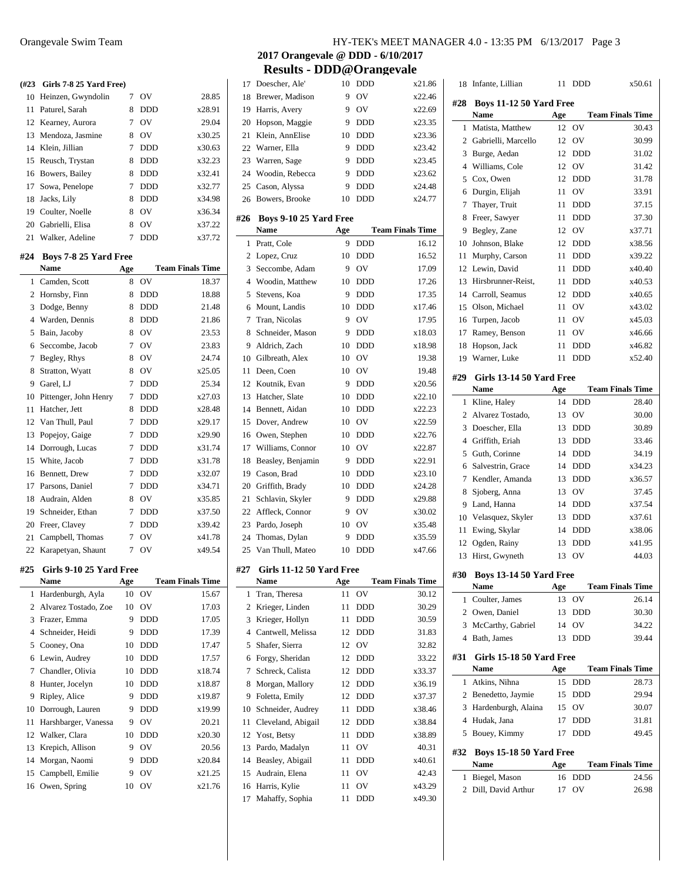| (#23)          | Girls 7-8 25 Yard Free) |        |                |                         |
|----------------|-------------------------|--------|----------------|-------------------------|
| 10             | Heinzen, Gwyndolin      | $\tau$ | OV             | 28.85                   |
| 11             | Paturel, Sarah          | 8      | <b>DDD</b>     | x28.91                  |
| 12             | Kearney, Aurora         | 7      | OV             | 29.04                   |
| 13             | Mendoza, Jasmine        | 8      | OV             | x30.25                  |
| 14             | Klein, Jillian          | 7      | <b>DDD</b>     | x30.63                  |
| 15             | Reusch, Trystan         | 8      | DDD            | x32.23                  |
| 16             | Bowers, Bailey          | 8      | DDD            | x32.41                  |
| 17             | Sowa, Penelope          | 7      | <b>DDD</b>     | x32.77                  |
| 18             | Jacks, Lily             | 8      | <b>DDD</b>     | x34.98                  |
| 19             | Coulter, Noelle         | 8      | OV             | x36.34                  |
| 20             | Gabrielli, Elisa        | 8      | OV             | x37.22                  |
| 21             | Walker, Adeline         | 7      | <b>DDD</b>     | x37.72                  |
|                |                         |        |                |                         |
| #24            | Boys 7-8 25 Yard Free   |        |                |                         |
|                | Name                    | Age    |                | <b>Team Finals Time</b> |
| 1              | Camden, Scott           | 8      | OV             | 18.37                   |
| 2              | Hornsby, Finn           | 8      | DDD            | 18.88                   |
| 3              | Dodge, Benny            | 8      | <b>DDD</b>     | 21.48                   |
| $\overline{4}$ | Warden, Dennis          | 8      | <b>DDD</b>     | 21.86                   |
| 5              | Bain, Jacoby            | 8      | OV             | 23.53                   |
| 6              | Seccombe, Jacob         | 7      | OV             | 23.83                   |
| 7              | Begley, Rhys            | 8      | OV             | 24.74                   |
| 8              | Stratton, Wyatt         | 8      | OV             | x25.05                  |
| 9              | Garel, LJ               | 7      | DDD            | 25.34                   |
| 10             | Pittenger, John Henry   | 7      | DDD            | x27.03                  |
| 11             | Hatcher, Jett           | 8      | DDD            | x28.48                  |
| 12             | Van Thull, Paul         | 7      | <b>DDD</b>     | x29.17                  |
| 13             | Popejoy, Gaige          | 7      | <b>DDD</b>     | x29.90                  |
| 14             | Dorrough, Lucas         | 7      | DDD            | x31.74                  |
| 15             | White, Jacob            | 7      | DDD            | x31.78                  |
| 16             | Bennett, Drew           | 7      | <b>DDD</b>     | x32.07                  |
| 17             | Parsons, Daniel         | 7      | <b>DDD</b>     | x34.71                  |
| 18             | Audrain, Alden          | 8      | OV             | x35.85                  |
| 19             | Schneider, Ethan        | 7      | DDD            | x37.50                  |
| 20             | Freer, Clavey           | 7      | <b>DDD</b>     | x39.42                  |
| 21             | Campbell, Thomas        | 7      | OV             | x41.78                  |
| 22             | Karapetyan, Shaunt      | 7      | O <sub>V</sub> | x49.54                  |
| #25            | Girls 9-10 25 Yard Free |        |                |                         |
|                | Name                    | Age    |                | <b>Team Finals Time</b> |
| 1              | Hardenburgh, Ayla       | 10     | OV             | 15.67                   |
| 2              | Alvarez Tostado, Zoe    | 10     | OV             | 17.03                   |
| 3              | Frazer, Emma            | 9      | DDD            | 17.05                   |
| 4              | Schneider, Heidi        | 9      | DDD            | 17.39                   |
| 5              | Cooney, Ona             | 10     | DDD            | 17.47                   |
| 6              | Lewin, Audrey           | 10     | DDD            | 17.57                   |
| 7              | Chandler, Olivia        | 10     | DDD            | x18.74                  |
| 8              | Hunter, Jocelyn         | 10     | DDD            | x18.87                  |
| 9              | Ripley, Alice           | 9      | DDD            | x19.87                  |
| 10             | Dorrough, Lauren        | 9      | DDD            | x19.99                  |
| 11             | Harshbarger, Vanessa    | 9      | OV             | 20.21                   |
| 12             | Walker, Clara           | 10     | DDD            | x20.30                  |
| 13             | Krepich, Allison        | 9      | OV             | 20.56                   |
| 14             | Morgan, Naomi           | 9      | DDD            | x20.84                  |
| 15             | Campbell, Emilie        | 9      | OV             | x21.25                  |
| 16             | Owen, Spring            | 10     | OV             | x21.76                  |

| Brewer, Madison<br>9<br>OV<br>18<br>Harris, Avery<br>9<br>OV<br>19<br>Hopson, Maggie<br>9<br>20<br>DDD<br>21<br>Klein, AnnElise<br>10<br><b>DDD</b><br>22<br>Warner, Ella<br><b>DDD</b><br>9<br>23<br>Warren, Sage<br>9<br><b>DDD</b><br>24<br>Woodin, Rebecca<br>9<br><b>DDD</b><br>25<br>Cason, Alyssa<br>9<br><b>DDD</b><br>Bowers, Brooke<br>10<br><b>DDD</b><br>26<br>#26<br>Boys 9-10 25 Yard Free<br><b>Name</b><br>Age<br>Pratt, Cole<br>9<br><b>DDD</b><br>1<br>10<br>2<br>Lopez, Cruz<br><b>DDD</b><br>3<br>Seccombe, Adam<br>OV<br>9<br>$\overline{4}$<br>Woodin, Matthew<br>10<br>DDD<br>Stevens, Koa<br><b>DDD</b><br>5<br>9<br>Mount, Landis<br><b>DDD</b><br>6<br>10<br>7<br>Tran, Nicolas<br>OV<br>9<br>Schneider, Mason<br>9<br>8<br>DDD<br>9<br>Aldrich, Zach<br>10<br><b>DDD</b><br>OV<br>10 Gilbreath, Alex<br>10<br>Deen, Coen<br>OV<br>11<br>10<br>12 Koutnik, Evan<br>9<br><b>DDD</b><br>13<br>Hatcher, Slate<br>10<br><b>DDD</b><br>Bennett, Aidan<br>14<br>10<br><b>DDD</b><br>15<br>Dover, Andrew<br>OV<br>10<br>Owen, Stephen<br>16<br>10<br><b>DDD</b><br>17<br>Williams, Connor<br>OV<br>10<br>18<br>Beasley, Benjamin<br>9<br><b>DDD</b><br>19<br>Cason, Brad<br>10<br>DDD<br>20<br>Griffith, Brady<br>10<br>DDD<br>21<br>Schlavin, Skyler<br>9<br><b>DDD</b><br>22<br>Affleck, Connor<br>9<br>OV<br>23<br>Pardo, Joseph<br>10<br>OV<br>9<br><b>DDD</b><br>24<br>Thomas, Dylan<br>25<br>Van Thull, Mateo<br>10<br><b>DDD</b><br>Girls 11-12 50 Yard Free<br>#27<br>Name<br><b>Age</b><br>OV<br>1<br>Tran, Theresa<br>11<br>$\boldsymbol{2}$<br>Krieger, Linden<br>11<br>DDD<br>3<br>Krieger, Hollyn<br>11<br>DDD<br>$\overline{4}$<br>Cantwell, Melissa<br>12<br>DDD<br>Shafer, Sierra<br>5<br>OV<br>12<br>Forgy, Sheridan<br>6<br>12<br>DDD<br>Schreck, Calista<br>7<br>12<br>DDD<br>8<br>Morgan, Mallory<br>12<br>DDD<br>Foletta, Emily<br>9<br>12<br><b>DDD</b><br>10<br>Schneider, Audrey<br>11<br>DDD<br>Cleveland, Abigail<br>11<br>12<br>DDD<br>12<br>Yost, Betsy<br>11<br>DDD<br>Pardo, Madalyn<br>OV<br>13<br>11<br>14<br>Beasley, Abigail<br>DDD<br>11<br>Audrain, Elena<br>OV<br>15<br>11<br>16<br>Harris, Kylie<br>OV<br>11 | 17 | Doescher, Ale'  | 10 | DDD | x21.86                  |
|-----------------------------------------------------------------------------------------------------------------------------------------------------------------------------------------------------------------------------------------------------------------------------------------------------------------------------------------------------------------------------------------------------------------------------------------------------------------------------------------------------------------------------------------------------------------------------------------------------------------------------------------------------------------------------------------------------------------------------------------------------------------------------------------------------------------------------------------------------------------------------------------------------------------------------------------------------------------------------------------------------------------------------------------------------------------------------------------------------------------------------------------------------------------------------------------------------------------------------------------------------------------------------------------------------------------------------------------------------------------------------------------------------------------------------------------------------------------------------------------------------------------------------------------------------------------------------------------------------------------------------------------------------------------------------------------------------------------------------------------------------------------------------------------------------------------------------------------------------------------------------------------------------------------------------------------------------------------------------------------------------------------------------------------------------------------------------------------------------------------------------------------------------------------------|----|-----------------|----|-----|-------------------------|
|                                                                                                                                                                                                                                                                                                                                                                                                                                                                                                                                                                                                                                                                                                                                                                                                                                                                                                                                                                                                                                                                                                                                                                                                                                                                                                                                                                                                                                                                                                                                                                                                                                                                                                                                                                                                                                                                                                                                                                                                                                                                                                                                                                       |    |                 |    |     | x22.46                  |
|                                                                                                                                                                                                                                                                                                                                                                                                                                                                                                                                                                                                                                                                                                                                                                                                                                                                                                                                                                                                                                                                                                                                                                                                                                                                                                                                                                                                                                                                                                                                                                                                                                                                                                                                                                                                                                                                                                                                                                                                                                                                                                                                                                       |    |                 |    |     | x22.69                  |
|                                                                                                                                                                                                                                                                                                                                                                                                                                                                                                                                                                                                                                                                                                                                                                                                                                                                                                                                                                                                                                                                                                                                                                                                                                                                                                                                                                                                                                                                                                                                                                                                                                                                                                                                                                                                                                                                                                                                                                                                                                                                                                                                                                       |    |                 |    |     | x23.35                  |
|                                                                                                                                                                                                                                                                                                                                                                                                                                                                                                                                                                                                                                                                                                                                                                                                                                                                                                                                                                                                                                                                                                                                                                                                                                                                                                                                                                                                                                                                                                                                                                                                                                                                                                                                                                                                                                                                                                                                                                                                                                                                                                                                                                       |    |                 |    |     | x23.36                  |
|                                                                                                                                                                                                                                                                                                                                                                                                                                                                                                                                                                                                                                                                                                                                                                                                                                                                                                                                                                                                                                                                                                                                                                                                                                                                                                                                                                                                                                                                                                                                                                                                                                                                                                                                                                                                                                                                                                                                                                                                                                                                                                                                                                       |    |                 |    |     | x23.42                  |
|                                                                                                                                                                                                                                                                                                                                                                                                                                                                                                                                                                                                                                                                                                                                                                                                                                                                                                                                                                                                                                                                                                                                                                                                                                                                                                                                                                                                                                                                                                                                                                                                                                                                                                                                                                                                                                                                                                                                                                                                                                                                                                                                                                       |    |                 |    |     | x23.45                  |
|                                                                                                                                                                                                                                                                                                                                                                                                                                                                                                                                                                                                                                                                                                                                                                                                                                                                                                                                                                                                                                                                                                                                                                                                                                                                                                                                                                                                                                                                                                                                                                                                                                                                                                                                                                                                                                                                                                                                                                                                                                                                                                                                                                       |    |                 |    |     | x23.62                  |
|                                                                                                                                                                                                                                                                                                                                                                                                                                                                                                                                                                                                                                                                                                                                                                                                                                                                                                                                                                                                                                                                                                                                                                                                                                                                                                                                                                                                                                                                                                                                                                                                                                                                                                                                                                                                                                                                                                                                                                                                                                                                                                                                                                       |    |                 |    |     | x24.48                  |
|                                                                                                                                                                                                                                                                                                                                                                                                                                                                                                                                                                                                                                                                                                                                                                                                                                                                                                                                                                                                                                                                                                                                                                                                                                                                                                                                                                                                                                                                                                                                                                                                                                                                                                                                                                                                                                                                                                                                                                                                                                                                                                                                                                       |    |                 |    |     | x24.77                  |
|                                                                                                                                                                                                                                                                                                                                                                                                                                                                                                                                                                                                                                                                                                                                                                                                                                                                                                                                                                                                                                                                                                                                                                                                                                                                                                                                                                                                                                                                                                                                                                                                                                                                                                                                                                                                                                                                                                                                                                                                                                                                                                                                                                       |    |                 |    |     |                         |
|                                                                                                                                                                                                                                                                                                                                                                                                                                                                                                                                                                                                                                                                                                                                                                                                                                                                                                                                                                                                                                                                                                                                                                                                                                                                                                                                                                                                                                                                                                                                                                                                                                                                                                                                                                                                                                                                                                                                                                                                                                                                                                                                                                       |    |                 |    |     |                         |
|                                                                                                                                                                                                                                                                                                                                                                                                                                                                                                                                                                                                                                                                                                                                                                                                                                                                                                                                                                                                                                                                                                                                                                                                                                                                                                                                                                                                                                                                                                                                                                                                                                                                                                                                                                                                                                                                                                                                                                                                                                                                                                                                                                       |    |                 |    |     | <b>Team Finals Time</b> |
|                                                                                                                                                                                                                                                                                                                                                                                                                                                                                                                                                                                                                                                                                                                                                                                                                                                                                                                                                                                                                                                                                                                                                                                                                                                                                                                                                                                                                                                                                                                                                                                                                                                                                                                                                                                                                                                                                                                                                                                                                                                                                                                                                                       |    |                 |    |     | 16.12                   |
|                                                                                                                                                                                                                                                                                                                                                                                                                                                                                                                                                                                                                                                                                                                                                                                                                                                                                                                                                                                                                                                                                                                                                                                                                                                                                                                                                                                                                                                                                                                                                                                                                                                                                                                                                                                                                                                                                                                                                                                                                                                                                                                                                                       |    |                 |    |     | 16.52                   |
|                                                                                                                                                                                                                                                                                                                                                                                                                                                                                                                                                                                                                                                                                                                                                                                                                                                                                                                                                                                                                                                                                                                                                                                                                                                                                                                                                                                                                                                                                                                                                                                                                                                                                                                                                                                                                                                                                                                                                                                                                                                                                                                                                                       |    |                 |    |     | 17.09                   |
|                                                                                                                                                                                                                                                                                                                                                                                                                                                                                                                                                                                                                                                                                                                                                                                                                                                                                                                                                                                                                                                                                                                                                                                                                                                                                                                                                                                                                                                                                                                                                                                                                                                                                                                                                                                                                                                                                                                                                                                                                                                                                                                                                                       |    |                 |    |     | 17.26                   |
|                                                                                                                                                                                                                                                                                                                                                                                                                                                                                                                                                                                                                                                                                                                                                                                                                                                                                                                                                                                                                                                                                                                                                                                                                                                                                                                                                                                                                                                                                                                                                                                                                                                                                                                                                                                                                                                                                                                                                                                                                                                                                                                                                                       |    |                 |    |     | 17.35                   |
|                                                                                                                                                                                                                                                                                                                                                                                                                                                                                                                                                                                                                                                                                                                                                                                                                                                                                                                                                                                                                                                                                                                                                                                                                                                                                                                                                                                                                                                                                                                                                                                                                                                                                                                                                                                                                                                                                                                                                                                                                                                                                                                                                                       |    |                 |    |     | x17.46                  |
|                                                                                                                                                                                                                                                                                                                                                                                                                                                                                                                                                                                                                                                                                                                                                                                                                                                                                                                                                                                                                                                                                                                                                                                                                                                                                                                                                                                                                                                                                                                                                                                                                                                                                                                                                                                                                                                                                                                                                                                                                                                                                                                                                                       |    |                 |    |     | 17.95                   |
|                                                                                                                                                                                                                                                                                                                                                                                                                                                                                                                                                                                                                                                                                                                                                                                                                                                                                                                                                                                                                                                                                                                                                                                                                                                                                                                                                                                                                                                                                                                                                                                                                                                                                                                                                                                                                                                                                                                                                                                                                                                                                                                                                                       |    |                 |    |     | x18.03                  |
|                                                                                                                                                                                                                                                                                                                                                                                                                                                                                                                                                                                                                                                                                                                                                                                                                                                                                                                                                                                                                                                                                                                                                                                                                                                                                                                                                                                                                                                                                                                                                                                                                                                                                                                                                                                                                                                                                                                                                                                                                                                                                                                                                                       |    |                 |    |     | x18.98                  |
|                                                                                                                                                                                                                                                                                                                                                                                                                                                                                                                                                                                                                                                                                                                                                                                                                                                                                                                                                                                                                                                                                                                                                                                                                                                                                                                                                                                                                                                                                                                                                                                                                                                                                                                                                                                                                                                                                                                                                                                                                                                                                                                                                                       |    |                 |    |     | 19.38                   |
|                                                                                                                                                                                                                                                                                                                                                                                                                                                                                                                                                                                                                                                                                                                                                                                                                                                                                                                                                                                                                                                                                                                                                                                                                                                                                                                                                                                                                                                                                                                                                                                                                                                                                                                                                                                                                                                                                                                                                                                                                                                                                                                                                                       |    |                 |    |     | 19.48                   |
|                                                                                                                                                                                                                                                                                                                                                                                                                                                                                                                                                                                                                                                                                                                                                                                                                                                                                                                                                                                                                                                                                                                                                                                                                                                                                                                                                                                                                                                                                                                                                                                                                                                                                                                                                                                                                                                                                                                                                                                                                                                                                                                                                                       |    |                 |    |     | x20.56                  |
|                                                                                                                                                                                                                                                                                                                                                                                                                                                                                                                                                                                                                                                                                                                                                                                                                                                                                                                                                                                                                                                                                                                                                                                                                                                                                                                                                                                                                                                                                                                                                                                                                                                                                                                                                                                                                                                                                                                                                                                                                                                                                                                                                                       |    |                 |    |     | x22.10                  |
|                                                                                                                                                                                                                                                                                                                                                                                                                                                                                                                                                                                                                                                                                                                                                                                                                                                                                                                                                                                                                                                                                                                                                                                                                                                                                                                                                                                                                                                                                                                                                                                                                                                                                                                                                                                                                                                                                                                                                                                                                                                                                                                                                                       |    |                 |    |     | x22.23                  |
|                                                                                                                                                                                                                                                                                                                                                                                                                                                                                                                                                                                                                                                                                                                                                                                                                                                                                                                                                                                                                                                                                                                                                                                                                                                                                                                                                                                                                                                                                                                                                                                                                                                                                                                                                                                                                                                                                                                                                                                                                                                                                                                                                                       |    |                 |    |     | x22.59                  |
|                                                                                                                                                                                                                                                                                                                                                                                                                                                                                                                                                                                                                                                                                                                                                                                                                                                                                                                                                                                                                                                                                                                                                                                                                                                                                                                                                                                                                                                                                                                                                                                                                                                                                                                                                                                                                                                                                                                                                                                                                                                                                                                                                                       |    |                 |    |     | x22.76                  |
|                                                                                                                                                                                                                                                                                                                                                                                                                                                                                                                                                                                                                                                                                                                                                                                                                                                                                                                                                                                                                                                                                                                                                                                                                                                                                                                                                                                                                                                                                                                                                                                                                                                                                                                                                                                                                                                                                                                                                                                                                                                                                                                                                                       |    |                 |    |     | x22.87                  |
|                                                                                                                                                                                                                                                                                                                                                                                                                                                                                                                                                                                                                                                                                                                                                                                                                                                                                                                                                                                                                                                                                                                                                                                                                                                                                                                                                                                                                                                                                                                                                                                                                                                                                                                                                                                                                                                                                                                                                                                                                                                                                                                                                                       |    |                 |    |     | x22.91                  |
|                                                                                                                                                                                                                                                                                                                                                                                                                                                                                                                                                                                                                                                                                                                                                                                                                                                                                                                                                                                                                                                                                                                                                                                                                                                                                                                                                                                                                                                                                                                                                                                                                                                                                                                                                                                                                                                                                                                                                                                                                                                                                                                                                                       |    |                 |    |     | x23.10                  |
|                                                                                                                                                                                                                                                                                                                                                                                                                                                                                                                                                                                                                                                                                                                                                                                                                                                                                                                                                                                                                                                                                                                                                                                                                                                                                                                                                                                                                                                                                                                                                                                                                                                                                                                                                                                                                                                                                                                                                                                                                                                                                                                                                                       |    |                 |    |     | x24.28                  |
|                                                                                                                                                                                                                                                                                                                                                                                                                                                                                                                                                                                                                                                                                                                                                                                                                                                                                                                                                                                                                                                                                                                                                                                                                                                                                                                                                                                                                                                                                                                                                                                                                                                                                                                                                                                                                                                                                                                                                                                                                                                                                                                                                                       |    |                 |    |     | x29.88                  |
|                                                                                                                                                                                                                                                                                                                                                                                                                                                                                                                                                                                                                                                                                                                                                                                                                                                                                                                                                                                                                                                                                                                                                                                                                                                                                                                                                                                                                                                                                                                                                                                                                                                                                                                                                                                                                                                                                                                                                                                                                                                                                                                                                                       |    |                 |    |     | x30.02                  |
|                                                                                                                                                                                                                                                                                                                                                                                                                                                                                                                                                                                                                                                                                                                                                                                                                                                                                                                                                                                                                                                                                                                                                                                                                                                                                                                                                                                                                                                                                                                                                                                                                                                                                                                                                                                                                                                                                                                                                                                                                                                                                                                                                                       |    |                 |    |     | x35.48                  |
|                                                                                                                                                                                                                                                                                                                                                                                                                                                                                                                                                                                                                                                                                                                                                                                                                                                                                                                                                                                                                                                                                                                                                                                                                                                                                                                                                                                                                                                                                                                                                                                                                                                                                                                                                                                                                                                                                                                                                                                                                                                                                                                                                                       |    |                 |    |     | x35.59                  |
|                                                                                                                                                                                                                                                                                                                                                                                                                                                                                                                                                                                                                                                                                                                                                                                                                                                                                                                                                                                                                                                                                                                                                                                                                                                                                                                                                                                                                                                                                                                                                                                                                                                                                                                                                                                                                                                                                                                                                                                                                                                                                                                                                                       |    |                 |    |     | x47.66                  |
|                                                                                                                                                                                                                                                                                                                                                                                                                                                                                                                                                                                                                                                                                                                                                                                                                                                                                                                                                                                                                                                                                                                                                                                                                                                                                                                                                                                                                                                                                                                                                                                                                                                                                                                                                                                                                                                                                                                                                                                                                                                                                                                                                                       |    |                 |    |     |                         |
|                                                                                                                                                                                                                                                                                                                                                                                                                                                                                                                                                                                                                                                                                                                                                                                                                                                                                                                                                                                                                                                                                                                                                                                                                                                                                                                                                                                                                                                                                                                                                                                                                                                                                                                                                                                                                                                                                                                                                                                                                                                                                                                                                                       |    |                 |    |     |                         |
|                                                                                                                                                                                                                                                                                                                                                                                                                                                                                                                                                                                                                                                                                                                                                                                                                                                                                                                                                                                                                                                                                                                                                                                                                                                                                                                                                                                                                                                                                                                                                                                                                                                                                                                                                                                                                                                                                                                                                                                                                                                                                                                                                                       |    |                 |    |     | <b>Team Finals Time</b> |
|                                                                                                                                                                                                                                                                                                                                                                                                                                                                                                                                                                                                                                                                                                                                                                                                                                                                                                                                                                                                                                                                                                                                                                                                                                                                                                                                                                                                                                                                                                                                                                                                                                                                                                                                                                                                                                                                                                                                                                                                                                                                                                                                                                       |    |                 |    |     | 30.12                   |
|                                                                                                                                                                                                                                                                                                                                                                                                                                                                                                                                                                                                                                                                                                                                                                                                                                                                                                                                                                                                                                                                                                                                                                                                                                                                                                                                                                                                                                                                                                                                                                                                                                                                                                                                                                                                                                                                                                                                                                                                                                                                                                                                                                       |    |                 |    |     | 30.29                   |
|                                                                                                                                                                                                                                                                                                                                                                                                                                                                                                                                                                                                                                                                                                                                                                                                                                                                                                                                                                                                                                                                                                                                                                                                                                                                                                                                                                                                                                                                                                                                                                                                                                                                                                                                                                                                                                                                                                                                                                                                                                                                                                                                                                       |    |                 |    |     | 30.59                   |
|                                                                                                                                                                                                                                                                                                                                                                                                                                                                                                                                                                                                                                                                                                                                                                                                                                                                                                                                                                                                                                                                                                                                                                                                                                                                                                                                                                                                                                                                                                                                                                                                                                                                                                                                                                                                                                                                                                                                                                                                                                                                                                                                                                       |    |                 |    |     | 31.83                   |
|                                                                                                                                                                                                                                                                                                                                                                                                                                                                                                                                                                                                                                                                                                                                                                                                                                                                                                                                                                                                                                                                                                                                                                                                                                                                                                                                                                                                                                                                                                                                                                                                                                                                                                                                                                                                                                                                                                                                                                                                                                                                                                                                                                       |    |                 |    |     | 32.82                   |
|                                                                                                                                                                                                                                                                                                                                                                                                                                                                                                                                                                                                                                                                                                                                                                                                                                                                                                                                                                                                                                                                                                                                                                                                                                                                                                                                                                                                                                                                                                                                                                                                                                                                                                                                                                                                                                                                                                                                                                                                                                                                                                                                                                       |    |                 |    |     | 33.22                   |
|                                                                                                                                                                                                                                                                                                                                                                                                                                                                                                                                                                                                                                                                                                                                                                                                                                                                                                                                                                                                                                                                                                                                                                                                                                                                                                                                                                                                                                                                                                                                                                                                                                                                                                                                                                                                                                                                                                                                                                                                                                                                                                                                                                       |    |                 |    |     | x33.37                  |
|                                                                                                                                                                                                                                                                                                                                                                                                                                                                                                                                                                                                                                                                                                                                                                                                                                                                                                                                                                                                                                                                                                                                                                                                                                                                                                                                                                                                                                                                                                                                                                                                                                                                                                                                                                                                                                                                                                                                                                                                                                                                                                                                                                       |    |                 |    |     | x36.19                  |
|                                                                                                                                                                                                                                                                                                                                                                                                                                                                                                                                                                                                                                                                                                                                                                                                                                                                                                                                                                                                                                                                                                                                                                                                                                                                                                                                                                                                                                                                                                                                                                                                                                                                                                                                                                                                                                                                                                                                                                                                                                                                                                                                                                       |    |                 |    |     | x37.37                  |
|                                                                                                                                                                                                                                                                                                                                                                                                                                                                                                                                                                                                                                                                                                                                                                                                                                                                                                                                                                                                                                                                                                                                                                                                                                                                                                                                                                                                                                                                                                                                                                                                                                                                                                                                                                                                                                                                                                                                                                                                                                                                                                                                                                       |    |                 |    |     | x38.46                  |
|                                                                                                                                                                                                                                                                                                                                                                                                                                                                                                                                                                                                                                                                                                                                                                                                                                                                                                                                                                                                                                                                                                                                                                                                                                                                                                                                                                                                                                                                                                                                                                                                                                                                                                                                                                                                                                                                                                                                                                                                                                                                                                                                                                       |    |                 |    |     | x38.84                  |
|                                                                                                                                                                                                                                                                                                                                                                                                                                                                                                                                                                                                                                                                                                                                                                                                                                                                                                                                                                                                                                                                                                                                                                                                                                                                                                                                                                                                                                                                                                                                                                                                                                                                                                                                                                                                                                                                                                                                                                                                                                                                                                                                                                       |    |                 |    |     | x38.89                  |
|                                                                                                                                                                                                                                                                                                                                                                                                                                                                                                                                                                                                                                                                                                                                                                                                                                                                                                                                                                                                                                                                                                                                                                                                                                                                                                                                                                                                                                                                                                                                                                                                                                                                                                                                                                                                                                                                                                                                                                                                                                                                                                                                                                       |    |                 |    |     | 40.31                   |
|                                                                                                                                                                                                                                                                                                                                                                                                                                                                                                                                                                                                                                                                                                                                                                                                                                                                                                                                                                                                                                                                                                                                                                                                                                                                                                                                                                                                                                                                                                                                                                                                                                                                                                                                                                                                                                                                                                                                                                                                                                                                                                                                                                       |    |                 |    |     | x40.61                  |
|                                                                                                                                                                                                                                                                                                                                                                                                                                                                                                                                                                                                                                                                                                                                                                                                                                                                                                                                                                                                                                                                                                                                                                                                                                                                                                                                                                                                                                                                                                                                                                                                                                                                                                                                                                                                                                                                                                                                                                                                                                                                                                                                                                       |    |                 |    |     | 42.43                   |
|                                                                                                                                                                                                                                                                                                                                                                                                                                                                                                                                                                                                                                                                                                                                                                                                                                                                                                                                                                                                                                                                                                                                                                                                                                                                                                                                                                                                                                                                                                                                                                                                                                                                                                                                                                                                                                                                                                                                                                                                                                                                                                                                                                       |    |                 |    |     | x43.29                  |
|                                                                                                                                                                                                                                                                                                                                                                                                                                                                                                                                                                                                                                                                                                                                                                                                                                                                                                                                                                                                                                                                                                                                                                                                                                                                                                                                                                                                                                                                                                                                                                                                                                                                                                                                                                                                                                                                                                                                                                                                                                                                                                                                                                       | 17 | Mahaffy, Sophia | 11 | DDD | x49.30                  |

| 18             | Infante, Lillian                       | 11       | DDD        | x50.61                  |
|----------------|----------------------------------------|----------|------------|-------------------------|
| #28            | Boys 11-12 50 Yard Free                |          |            |                         |
|                | <b>Name</b>                            | Age      |            | <b>Team Finals Time</b> |
| 1              | Matista, Matthew                       | 12       | OV         | 30.43                   |
| $\overline{2}$ | Gabrielli, Marcello                    | 12       | OV         | 30.99                   |
| 3              | Burge, Aedan                           | 12       | DDD        | 31.02                   |
| $\overline{4}$ | Williams, Cole                         | 12       | OV         | 31.42                   |
| 5              | Cox, Owen                              | 12       | <b>DDD</b> | 31.78                   |
| 6              | Durgin, Elijah                         | 11       | OV         | 33.91                   |
| 7              | Thayer, Truit                          | 11       | <b>DDD</b> | 37.15                   |
| 8              | Freer, Sawyer                          | 11       | <b>DDD</b> | 37.30                   |
| 9              | Begley, Zane                           | 12       | <b>OV</b>  | x37.71                  |
| 10             | Johnson, Blake                         | 12       | <b>DDD</b> | x38.56                  |
| 11             | Murphy, Carson                         | 11       | DDD        | x39.22                  |
| 12             | Lewin, David                           | 11       | DDD        | x40.40                  |
| 13             | Hirsbrunner-Reist,                     | 11       | DDD        | x40.53                  |
| 14             | Carroll, Seamus                        | 12       | <b>DDD</b> | x40.65                  |
| 15             | Olson, Michael                         | 11       | OV         | x43.02                  |
| 16             | Turpen, Jacob                          | 11       | OV         | x45.03                  |
| 17             | Ramey, Benson                          | 11       | OV         | x46.66                  |
| 18             | Hopson, Jack                           | 11       | <b>DDD</b> | x46.82                  |
| 19             | Warner, Luke                           | 11       | DDD        | x52.40                  |
| #29            | Girls 13-14 50 Yard Free               |          |            |                         |
|                | Name                                   | Age      |            | <b>Team Finals Time</b> |
| 1              | Kline, Haley                           | 14       | <b>DDD</b> | 28.40                   |
| 2              | Alvarez Tostado,                       | 13       | OV         | 30.00                   |
| 3              | Doescher, Ella                         | 13       | <b>DDD</b> | 30.89                   |
| 4              | Griffith, Eriah                        | 13       | <b>DDD</b> | 33.46                   |
| 5              | Guth, Corinne                          | 14       | <b>DDD</b> | 34.19                   |
| 6              | Salvestrin, Grace                      | 14       | <b>DDD</b> | x34.23                  |
| 7              | Kendler, Amanda                        | 13       | <b>DDD</b> | x36.57                  |
| 8              | Sjoberg, Anna                          | 13       | OV         | 37.45                   |
| 9              | Land, Hanna                            | 14       | <b>DDD</b> | x37.54                  |
| 10             | Velasquez, Skyler                      | 13       | DDD        | x37.61                  |
| 11             | Ewing, Skylar                          | 14       | DDD        | x38.06                  |
| 12             | Ogden, Rainy                           | 13       | DDD        | x41.95                  |
| 13             | Hirst, Gwyneth                         | 13       | OV         | 44.03                   |
|                |                                        |          |            |                         |
| #30            | <b>Boys 13-14 50 Yard Free</b><br>Name | Age      |            | <b>Team Finals Time</b> |
| 1              | Coulter, James                         | 13       | OV         | 26.14                   |
|                | 2 Owen, Daniel                         | 13       | DDD        | 30.30                   |
|                | 3 McCarthy, Gabriel                    | 14       | OV         | 34.22                   |
| 4              | Bath, James                            | 13       | DDD        | 39.44                   |
|                |                                        |          |            |                         |
| #31            | Girls 15-18 50 Yard Free               |          |            |                         |
|                | <b>Name</b>                            | Age      |            | <b>Team Finals Time</b> |
|                | Atkins, Nihna                          | 15<br>15 | <b>DDD</b> | 28.73                   |
| 1              |                                        |          | <b>DDD</b> | 29.94                   |
|                | 2 Benedetto, Jaymie                    |          |            |                         |
|                | 3 Hardenburgh, Alaina                  | 15       | OV         | 30.07                   |
|                | 4 Hudak, Jana                          | 17       | DDD        | 31.81                   |
| 5              | Bouey, Kimmy                           | 17       | DDD        | 49.45                   |
|                | Boys 15-18 50 Yard Free                |          |            |                         |
|                | Name                                   | Age      |            | <b>Team Finals Time</b> |
| #32<br>1       | Biegel, Mason                          | 16       | DDD<br>OV  | 24.56                   |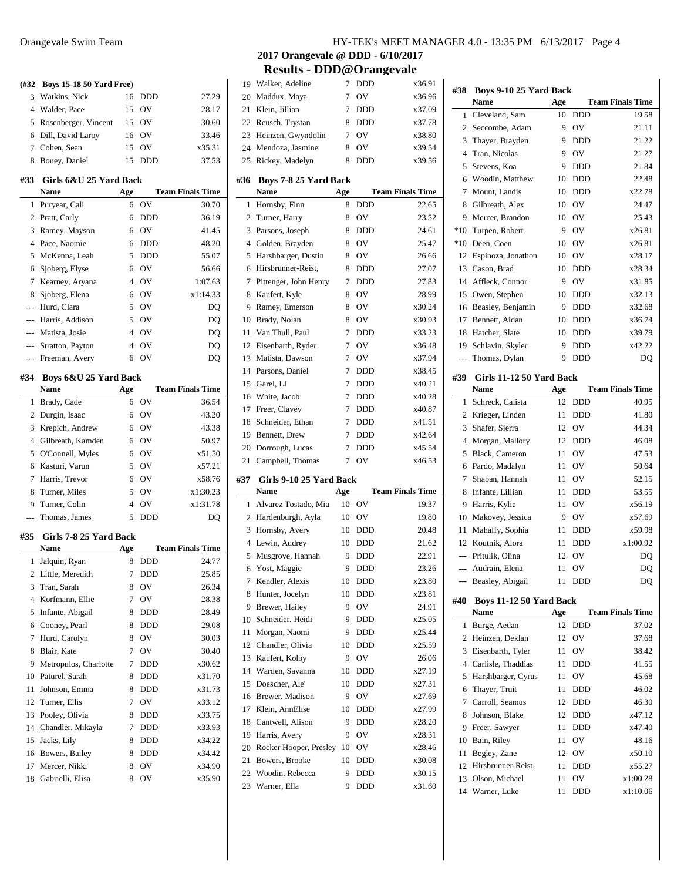| (#32           | <b>Boys 15-18 50 Yard Free)</b>   |                |            |                         |
|----------------|-----------------------------------|----------------|------------|-------------------------|
| 3              | Watkins, Nick                     | 16             | <b>DDD</b> | 27.29                   |
| 4              | Walder, Pace                      | 15             | OV         | 28.17                   |
| 5              | Rosenberger, Vincent              | 15             | <b>OV</b>  | 30.60                   |
| 6              | Dill, David Laroy                 | 16             | OV         | 33.46                   |
| 7              | Cohen, Sean                       | 15             | OV         | x35.31                  |
| 8              | Bouey, Daniel                     | 15             | <b>DDD</b> | 37.53                   |
| #33            | Girls 6&U 25 Yard Back            |                |            |                         |
|                | Name                              | Age            |            | <b>Team Finals Time</b> |
| 1              | Puryear, Cali                     | 6              | OV         | 30.70                   |
| 2              | Pratt, Carly                      | 6              | <b>DDD</b> | 36.19                   |
| 3              | Ramey, Mayson                     | 6              | OV         | 41.45                   |
| 4              | Pace, Naomie                      | 6              | <b>DDD</b> | 48.20                   |
| 5              | McKenna, Leah                     | 5              | <b>DDD</b> | 55.07                   |
| 6              | Sjoberg, Elyse                    | 6              | OV         | 56.66                   |
| 7              | Kearney, Aryana                   | 4              | OV         | 1:07.63                 |
| 8              | Sjoberg, Elena                    | 6              | OV         | x1:14.33                |
| $\overline{a}$ | Hurd, Clara                       | 5              | OV         | DQ                      |
| $\overline{a}$ | Harris, Addison                   | 5              | OV         | DQ                      |
|                | --- Matista, Josie                | 4              | <b>OV</b>  | DQ                      |
| ---            | Stratton, Payton                  | 4              | OV         | DQ                      |
| ---            | Freeman, Avery                    | 6              | OV         | DO                      |
|                |                                   |                |            |                         |
| #34            | Boys 6&U 25 Yard Back             |                |            |                         |
|                | Name                              | Age            |            | <b>Team Finals Time</b> |
| 1              | Brady, Cade                       | 6              | OV         | 36.54                   |
| 2              | Durgin, Isaac                     | 6              | OV         | 43.20                   |
| 3              | Krepich, Andrew                   | 6              | <b>OV</b>  | 43.38                   |
| 4              | Gilbreath, Kamden                 | 6              | OV         | 50.97                   |
| 5              | O'Connell, Myles                  | 6              | OV         | x51.50                  |
| 6              | Kasturi, Varun                    | 5              | <b>OV</b>  | x57.21                  |
| 7              | Harris, Trevor                    | 6              | <b>OV</b>  | x58.76                  |
| 8              | Turner, Miles                     | 5              | <b>OV</b>  | x1:30.23                |
| 9              | Turner, Colin                     | $\overline{4}$ | OV         | x1:31.78                |
| ---            | Thomas, James                     | 5              | <b>DDD</b> | DQ                      |
| #35            | Girls 7-8 25 Yard Back            |                |            |                         |
|                | Name                              | Age            |            | <b>Team Finals Time</b> |
| 1              | Jalquin, Ryan                     | 8              | DDD        | 24.77                   |
| 2              | Little, Meredith                  | 7              | DDD        | 25.85                   |
| 3              | Tran, Sarah                       | 8              | OV         | 26.34                   |
|                |                                   |                |            |                         |
|                |                                   |                |            |                         |
| $\overline{4}$ | Korfmann, Ellie                   | 7              | OV         | 28.38                   |
| 5              | Infante, Abigail                  | 8              | DDD        | 28.49                   |
| 6              | Cooney, Pearl                     | 8              | <b>DDD</b> | 29.08                   |
| 7              | Hurd, Carolyn                     | 8              | OV         | 30.03                   |
| 8              | Blair, Kate                       | 7              | OV         | 30.40                   |
| 9              | Metropulos, Charlotte             | 7              | DDD        | x30.62                  |
| 10             | Paturel, Sarah                    | 8              | DDD        | x31.70                  |
| 11             | Johnson, Emma                     | 8              | DDD        | x31.73                  |
| 12             | Turner, Ellis                     | 7              | OV         | x33.12                  |
| 13             | Pooley, Olivia                    | 8              | DDD        | x33.75                  |
| 14             | Chandler, Mikayla                 | 7              | DDD        | x33.93                  |
| 15             | Jacks, Lily                       | 8              | DDD        | x34.22                  |
| 16             | Bowers, Bailey                    | 8              | <b>DDD</b> | x34.42                  |
| 17<br>18       | Mercer, Nikki<br>Gabrielli, Elisa | 8<br>8         | OV<br>OV   | x34.90<br>x35.90        |

| 19             | Walker, Adeline                             | 7   | DDD        | x36.91                  |
|----------------|---------------------------------------------|-----|------------|-------------------------|
| 20             | Maddux, Maya                                | 7   | OV         | x36.96                  |
| 21             | Klein, Jillian                              | 7   | DDD        | x37.09                  |
| 22             | Reusch, Trystan                             | 8   | DDD        | x37.78                  |
| 23             | Heinzen, Gwyndolin                          | 7   | OV         | x38.80                  |
| 24             | Mendoza, Jasmine                            | 8   | OV         | x39.54                  |
| 25             | Rickey, Madelyn                             | 8   | DDD        | x39.56                  |
| #36            | Boys 7-8 25 Yard Back<br>Name               |     |            | <b>Team Finals Time</b> |
|                |                                             | Age | <b>DDD</b> |                         |
| 1              | Hornsby, Finn                               | 8   |            | 22.65                   |
| 2              | Turner, Harry                               | 8   | OV         | 23.52                   |
| 3              | Parsons, Joseph                             | 8   | <b>DDD</b> | 24.61                   |
| $\overline{4}$ | Golden, Brayden                             | 8   | OV         | 25.47                   |
| 5              | Harshbarger, Dustin                         | 8   | OV         | 26.66                   |
| 6              | Hirsbrunner-Reist,                          | 8   | <b>DDD</b> | 27.07                   |
| 7              | Pittenger, John Henry                       | 7   | <b>DDD</b> | 27.83                   |
| 8              | Kaufert, Kyle                               | 8   | OV         | 28.99                   |
| 9              | Ramey, Emerson                              | 8   | OV         | x30.24                  |
| 10             | Brady, Nolan                                | 8   | OV         | x30.93                  |
| 11             | Van Thull, Paul                             | 7   | <b>DDD</b> | x33.23                  |
| 12             | Eisenbarth, Ryder                           | 7   | OV         | x36.48                  |
| 13             | Matista, Dawson                             | 7   | OV         | x37.94                  |
| 14             | Parsons, Daniel                             | 7   | DDD        | x38.45                  |
| 15             | Garel, LJ                                   | 7   | DDD        | x40.21                  |
| 16             | White, Jacob                                | 7   | <b>DDD</b> | x40.28                  |
| 17             | Freer, Clavey                               | 7   | DDD        | x40.87                  |
| 18             | Schneider, Ethan                            | 7   | <b>DDD</b> | x41.51                  |
| 19             | Bennett, Drew                               | 7   | DDD        | x42.64                  |
|                |                                             |     |            |                         |
|                |                                             | 7   | DDD        | x45.54                  |
| 20             | Dorrough, Lucas                             | 7   |            | x46.53                  |
| 21<br>#37      | Campbell, Thomas<br>Girls 9-10 25 Yard Back |     | OV         |                         |
|                | <b>Name</b>                                 | Age |            | <b>Team Finals Time</b> |
| 1              | Alvarez Tostado, Mia                        | 10  | OV         | 19.37                   |
| 2              | Hardenburgh, Ayla                           | 10  | OV         | 19.80                   |
| 3              | Hornsby, Avery                              | 10  | DDD        | 20.48                   |
| $\overline{4}$ | Lewin, Audrey                               | 10  | DDD        | 21.62                   |
| 5              | Musgrove, Hannah                            | 9   | DDD        | 22.91                   |
| 6              | Yost, Maggie                                | 9   | <b>DDD</b> | 23.26                   |
| 7              | Kendler, Alexis                             | 10  | <b>DDD</b> | x23.80                  |
| 8              | Hunter, Jocelyn                             | 10  | DDD        | x23.81                  |
| 9              | Brewer, Hailey                              | 9   | OV         | 24.91                   |
| 10             | Schneider, Heidi                            | 9   | DDD        | x25.05                  |
| 11             | Morgan, Naomi                               | 9   | DDD        | x25.44                  |
| 12             | Chandler, Olivia                            | 10  | DDD        | x25.59                  |
| 13             | Kaufert, Kolby                              | 9   | OV         | 26.06                   |
| 14             | Warden, Savanna                             | 10  | DDD        | x27.19                  |
| 15             | Doescher, Ale'                              | 10  | <b>DDD</b> | x27.31                  |
| 16             | Brewer, Madison                             | 9   | OV         | x27.69                  |
| 17             | Klein, AnnElise                             | 10  | DDD        | x27.99                  |
| 18             | Cantwell, Alison                            | 9   | <b>DDD</b> | x28.20                  |
| 19             | Harris, Avery                               | 9   | OV         | x28.31                  |
| 20             | Rocker Hooper, Presley                      | 10  | OV         | x28.46                  |
| 21             | Bowers, Brooke                              | 10  |            | x30.08                  |
|                | Woodin, Rebecca                             | 9   | DDD<br>DDD | x30.15                  |
| 22<br>23       | Warner, Ella                                | 9   | DDD        | x31.60                  |

| #38            | Boys 9-10 25 Yard Back           |          |                          |                         |  |
|----------------|----------------------------------|----------|--------------------------|-------------------------|--|
|                | Name                             | Age      |                          | <b>Team Finals Time</b> |  |
| 1              | Cleveland, Sam                   | 10       | <b>DDD</b>               | 19.58                   |  |
| $\overline{c}$ | Seccombe, Adam                   | 9        | OV                       | 21.11                   |  |
| 3              | Thayer, Brayden                  | 9        | <b>DDD</b>               | 21.22                   |  |
| 4              | Tran, Nicolas                    | 9        | OV                       | 21.27                   |  |
| 5              | Stevens, Koa                     | 9        | <b>DDD</b>               | 21.84                   |  |
| 6              | Woodin, Matthew                  | 10       | <b>DDD</b>               | 22.48                   |  |
| 7              | Mount, Landis                    | 10       | DDD                      | x22.78                  |  |
| 8              | Gilbreath, Alex                  | 10       | OV                       | 24.47                   |  |
| 9              | Mercer, Brandon                  | 10       | OV                       | 25.43                   |  |
| $*10$          | Turpen, Robert                   | 9        | OV                       | x26.81                  |  |
| $*10$          | Deen, Coen                       | 10       | OV                       | x26.81                  |  |
| 12             | Espinoza, Jonathon               | 10       | OV                       | x28.17                  |  |
| 13             | Cason, Brad                      | 10       | DDD                      | x28.34                  |  |
| 14             | Affleck, Connor                  | 9        | OV                       | x31.85                  |  |
| 15             | Owen, Stephen                    | 10       | DDD                      | x32.13                  |  |
| 16             | Beasley, Benjamin                | 9        | DDD                      | x32.68                  |  |
| 17             | Bennett, Aidan                   | 10       | DDD                      | x36.74                  |  |
| 18             | Hatcher, Slate                   | 10       | DDD                      | x39.79                  |  |
| 19             | Schlavin, Skyler                 | 9        | DDD                      | x42.22                  |  |
| ---            | Thomas, Dylan                    | 9        | <b>DDD</b>               | DQ                      |  |
|                |                                  |          |                          |                         |  |
| #39            | Girls 11-12 50 Yard Back<br>Name |          |                          | <b>Team Finals Time</b> |  |
|                | Schreck, Calista                 | Age      |                          |                         |  |
| 1              |                                  | 12       | DDD                      | 40.95                   |  |
| 2              | Krieger, Linden                  | 11       | DDD                      | 41.80                   |  |
| 3              | Shafer, Sierra                   | 12       | OV                       | 44.34                   |  |
| 4              | Morgan, Mallory                  | 12       | DDD                      | 46.08                   |  |
| 5              | Black, Cameron                   | 11       | OV<br>OV                 | 47.53                   |  |
| 6<br>7         | Pardo, Madalyn                   | 11       | OV                       | 50.64                   |  |
|                | Shaban, Hannah                   | 11       |                          | 52.15                   |  |
| 8              | Infante, Lillian                 | 11       | DDD                      | 53.55                   |  |
| 9              | Harris, Kylie                    | 11       | OV                       | x56.19                  |  |
| 10             | Makovey, Jessica                 | 9        | OV                       | x57.69                  |  |
| 11             | Mahaffy, Sophia                  | 11<br>11 | <b>DDD</b><br><b>DDD</b> | x59.98                  |  |
| 12             | Koutnik, Alora                   |          |                          | x1:00.92                |  |
| $\overline{a}$ | Pritulik, Olina                  | 12       | OV                       | DQ                      |  |
| $\overline{a}$ | Audrain, Elena                   | 11       | OV                       | DQ                      |  |
|                | Beasley, Abigail                 | 11       | DDD                      | DQ                      |  |
| #40            | Boys 11-12 50 Yard Back          |          |                          |                         |  |
|                | Name                             | Age      |                          | <b>Team Finals Time</b> |  |
| 1              | Burge, Aedan                     | 12       | <b>DDD</b>               | 37.02                   |  |
| $\overline{c}$ | Heinzen, Deklan                  | 12       | OV                       | 37.68                   |  |
| 3              | Eisenbarth, Tyler                | 11       | OV                       | 38.42                   |  |
|                | 4 Carlisle, Thaddias             | 11       | DDD                      | 41.55                   |  |
| 5              | Harshbarger, Cyrus               | 11       | OV                       | 45.68                   |  |
| 6              | Thayer, Truit                    | 11       | DDD                      | 46.02                   |  |
| 7              | Carroll, Seamus                  | 12       | DDD                      | 46.30                   |  |
| 8              | Johnson, Blake                   | 12       | DDD                      | x47.12                  |  |
| 9              | Freer, Sawyer                    | 11       | DDD                      | x47.40                  |  |
| 10             | Bain, Riley                      | 11       | OV                       | 48.16                   |  |
| 11             | Begley, Zane                     | 12       | OV                       | x50.10                  |  |
| 12             | Hirsbrunner-Reist,               | 11       | DDD                      | x55.27                  |  |
| 13             | Olson, Michael                   | 11       | ov                       | x1:00.28                |  |
| 14             | Warner, Luke                     | 11       | DDD                      | x1:10.06                |  |
|                |                                  |          |                          |                         |  |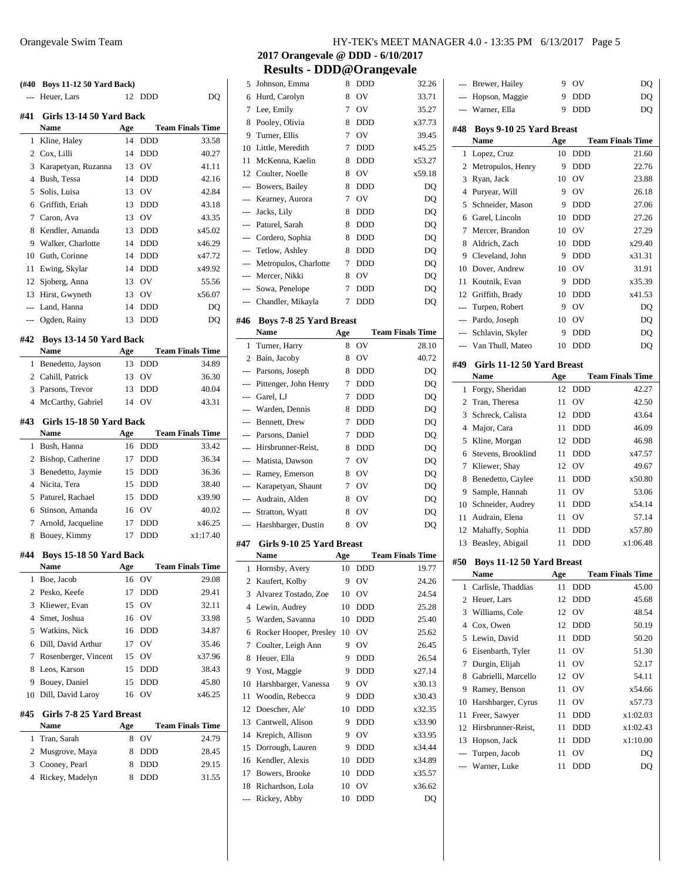| (#40           | <b>Boys 11-12 50 Yard Back)</b> |     |            |                         |
|----------------|---------------------------------|-----|------------|-------------------------|
| ---            | Heuer, Lars                     | 12  | <b>DDD</b> | DO                      |
| #41            | Girls 13-14 50 Yard Back        |     |            |                         |
|                | <b>Name</b>                     | Age |            | <b>Team Finals Time</b> |
| 1              | Kline, Haley                    | 14  | <b>DDD</b> | 33.58                   |
| 2              | Cox, Lilli                      | 14  | <b>DDD</b> | 40.27                   |
| 3              | Karapetyan, Ruzanna             | 13  | OV         | 41.11                   |
| $\overline{4}$ | Bush, Tessa                     | 14  | <b>DDD</b> | 42.16                   |
| 5              | Solis, Luisa                    | 13  | OV         | 42.84                   |
|                | 6 Griffith, Eriah               | 13  | <b>DDD</b> | 43.18                   |
| 7              | Caron. Ava                      | 13  | OV         | 43.35                   |
| 8              | Kendler, Amanda                 | 13  | DDD        | x45.02                  |
| 9              | Walker, Charlotte               | 14  | <b>DDD</b> | x46.29                  |
| 10             | Guth, Corinne                   | 14  | <b>DDD</b> | x47.72                  |
| 11             | Ewing, Skylar                   | 14  | <b>DDD</b> | x49.92                  |
| 12             | Sjoberg, Anna                   | 13  | OV         | 55.56                   |
| 13             | Hirst, Gwyneth                  | 13  | OV         | x56.07                  |
| $\overline{a}$ | Land, Hanna                     | 14  | <b>DDD</b> | DQ                      |
| ---            | Ogden, Rainy                    | 13  | <b>DDD</b> | DQ                      |
| #42            | Boys 13-14 50 Yard Back         |     |            |                         |
|                | <b>Name</b>                     | Age |            | <b>Team Finals Time</b> |
| 1              | Benedetto, Jayson               | 13  | <b>DDD</b> | 34.89                   |
| $\overline{2}$ | Cahill, Patrick                 | 13  | OV         | 36.30                   |
| 3              | Parsons, Trevor                 | 13  | DDD        | 40.04                   |
| 4              | McCarthy, Gabriel               | 14  | OV         | 43.31                   |
| #43            | Girls 15-18 50 Yard Back        |     |            |                         |
|                | <b>Name</b>                     | Age |            | <b>Team Finals Time</b> |
| 1              | Bush, Hanna                     | 16  | <b>DDD</b> | 33.42                   |
| 2              | Bishop, Catherine               | 17  | DDD        | 36.34                   |
| 3              | Benedetto, Jaymie               | 15  | DDD        | 36.36                   |
| 4              | Nicita, Tera                    | 15  | <b>DDD</b> | 38.40                   |
| 5              | Paturel, Rachael                | 15  | <b>DDD</b> | x39.90                  |
| 6              | Stinson, Amanda                 | 16  | OV         | 40.02                   |
| 7              | Arnold, Jacqueline              | 17  | DDD        | x46.25                  |
| 8              | Bouey, Kimmy                    | 17  | <b>DDD</b> | x1:17.40                |
| #44            | Boys 15-18 50 Yard Back         |     |            |                         |
|                | Name                            | Age |            | <b>Team Finals Time</b> |
| 1              | Boe, Jacob                      | 16  | OV         | 29.08                   |
| 2              | Pesko, Keefe                    | 17  | DDD        | 29.41                   |
| 3              | Kliewer, Evan                   | 15  | OV         | 32.11                   |
| 4              | Smet, Joshua                    | 16  | OV         | 33.98                   |
| 5              | Watkins, Nick                   | 16  | DDD        | 34.87                   |
| 6              | Dill, David Arthur              | 17  | OV         | 35.46                   |
| 7              | Rosenberger, Vincent            | 15  | OV         | x37.96                  |
| 8              | Leos, Karson                    | 15  | DDD        | 38.43                   |
| 9              | Bouev, Daniel                   | 15  | DDD        | 45.80                   |
| 10             | Dill, David Laroy               | 16  | OV         | x46.25                  |
| #45            | Girls 7-8 25 Yard Breast        |     |            |                         |
|                | Name                            | Age |            | <b>Team Finals Time</b> |
| 1              | Tran, Sarah                     | 8   | OV         | 24.79                   |
| 2              | Musgrove, Maya                  | 8   | DDD        | 28.45                   |
| 3              | Cooney, Pearl                   | 8   | DDD        | 29.15                   |
| 4              | Rickey, Madelyn                 | 8   | DDD        | 31.55                   |
|                |                                 |     |            |                         |

| 5              | Johnson, Emma                  | 8   | DDD        | 32.26                   |
|----------------|--------------------------------|-----|------------|-------------------------|
| 6              | Hurd, Carolyn                  | 8   | OV         | 33.71                   |
| 7              | Lee, Emily                     | 7   | OV         | 35.27                   |
| 8              | Pooley, Olivia                 | 8   | DDD        | x37.73                  |
| 9              | Turner, Ellis                  | 7   | OV         | 39.45                   |
| 10             | Little, Meredith               | 7   | <b>DDD</b> | x45.25                  |
| 11             | McKenna, Kaelin                | 8   | <b>DDD</b> | x53.27                  |
| 12             | Coulter, Noelle                | 8   | OV         | x59.18                  |
| ---            | Bowers, Bailey                 | 8   | <b>DDD</b> | DQ                      |
| ---            | Kearney, Aurora                | 7   | OV         | DQ                      |
| ---            | Jacks, Lily                    | 8   | <b>DDD</b> | DQ                      |
| $\overline{a}$ | Paturel, Sarah                 | 8   | <b>DDD</b> | DQ                      |
|                | Cordero, Sophia                | 8   | <b>DDD</b> | DQ                      |
|                | Tetlow, Ashley                 | 8   | <b>DDD</b> | DQ                      |
| $---$          | Metropulos, Charlotte          | 7   | <b>DDD</b> | DQ                      |
| $\overline{a}$ | Mercer, Nikki                  | 8   | OV         | DQ                      |
| $---$          |                                | 7   | DDD        |                         |
|                | Sowa, Penelope                 |     | <b>DDD</b> | DQ                      |
| ---            | Chandler, Mikayla              | 7   |            | DQ                      |
| #46            | <b>Boys 7-8 25 Yard Breast</b> |     |            |                         |
|                | Name                           | Age |            | <b>Team Finals Time</b> |
| 1              | Turner, Harry                  | 8   | OV         | 28.10                   |
| 2              | Bain, Jacoby                   | 8   | OV         | 40.72                   |
| $\overline{a}$ | Parsons, Joseph                | 8   | DDD        | DO                      |
| $\overline{a}$ | Pittenger, John Henry          | 7   | <b>DDD</b> | DQ                      |
| ---            | Garel, LJ                      | 7   | <b>DDD</b> | DQ                      |
| ---            | Warden, Dennis                 | 8   | DDD        | DQ                      |
| $---$          | Bennett, Drew                  | 7   | <b>DDD</b> | DQ                      |
| ---            | Parsons, Daniel                | 7   | <b>DDD</b> | DQ                      |
| $\overline{a}$ | Hirsbrunner-Reist,             | 8   | DDD        | DQ                      |
| ---            | Matista, Dawson                | 7   | OV         | DQ                      |
| ---            | Ramey, Emerson                 | 8   | OV         | DQ                      |
| ---            | Karapetyan, Shaunt             | 7   | OV         | DQ                      |
| ---            | Audrain, Alden                 | 8   | OV         | DQ                      |
| $---$          | Stratton, Wyatt                | 8   | OV         | DQ                      |
|                | Harshbarger, Dustin            | 8   | OV         | DQ                      |
|                |                                |     |            |                         |
| #47            | Girls 9-10 25 Yard Breast      |     |            |                         |
|                | Name                           | Age |            | <b>Team Finals Time</b> |
| 1              | Hornsby, Avery                 | 10  | <b>DDD</b> | 19.77                   |
| $\overline{c}$ | Kaufert, Kolby                 | 9   | OV         | 24.26                   |
| 3              | Alvarez Tostado, Zoe           | 10  | OV         | 24.54                   |
| 4              | Lewin, Audrey                  | 10  | <b>DDD</b> | 25.28                   |
| 5              |                                |     |            | 25.40                   |
| 6              | Warden, Savanna                | 10  | DDD        |                         |
| 7              | Rocker Hooper, Presley         | 10  | OV         | 25.62                   |
|                | Coulter, Leigh Ann             | 9   | OV         | 26.45                   |
| 8              | Heuer, Ella                    | 9   | DDD        | 26.54                   |
| 9              | Yost, Maggie                   | 9   | <b>DDD</b> | x27.14                  |
| 10             | Harshbarger, Vanessa           | 9   | OV         | x30.13                  |
| 11             | Woodin, Rebecca                | 9   | DDD        | x30.43                  |
| 12             | Doescher, Ale'                 | 10  | DDD        | x32.35                  |
| 13             | Cantwell, Alison               | 9   | DDD        | x33.90                  |
| 14             | Krepich, Allison               | 9   | OV         | x33.95                  |
| 15             | Dorrough, Lauren               | 9   | DDD        | x34.44                  |
| 16             | Kendler, Alexis                | 10  | DDD        | x34.89                  |
| 17             | Bowers, Brooke                 | 10  | DDD        | x35.57                  |
| 18             | Richardson, Lola               | 10  | OV         | x36.62                  |

| ---                   | Brewer, Hailey                           | 9        | OV                | DO                      |
|-----------------------|------------------------------------------|----------|-------------------|-------------------------|
|                       | Hopson, Maggie                           | 9        | <b>DDD</b>        | DO                      |
|                       | Warner, Ella                             | 9        | <b>DDD</b>        | DQ                      |
|                       |                                          |          |                   |                         |
| #48                   | <b>Boys 9-10 25 Yard Breast</b><br>Name  | Age      |                   | <b>Team Finals Time</b> |
| 1                     | Lopez, Cruz                              | 10       | DDD               | 21.60                   |
| 2                     | Metropulos, Henry                        | 9        | <b>DDD</b>        | 22.76                   |
| 3                     | Ryan, Jack                               | 10       | OV                | 23.88                   |
| 4                     | Puryear, Will                            | 9        | OV                | 26.18                   |
| 5                     | Schneider, Mason                         | 9        | <b>DDD</b>        | 27.06                   |
| 6                     | Garel, Lincoln                           | 10       | <b>DDD</b>        | 27.26                   |
| 7                     | Mercer, Brandon                          | 10       | OV                | 27.29                   |
| 8                     | Aldrich, Zach                            | 10       | <b>DDD</b>        | x29.40                  |
| 9                     | Cleveland, John                          | 9        | <b>DDD</b>        | x31.31                  |
| 10                    | Dover, Andrew                            | 10       | OV                | 31.91                   |
| 11                    | Koutnik, Evan                            | 9        | <b>DDD</b>        | x35.39                  |
| 12                    | Griffith, Brady                          | 10       | <b>DDD</b>        | x41.53                  |
| ---                   | Turpen, Robert                           | 9        | OV                | DQ                      |
| $---$                 | Pardo, Joseph                            | 10       | OV                |                         |
| ---                   | Schlavin, Skyler                         | 9        | <b>DDD</b>        | DQ                      |
| ---                   | Van Thull, Mateo                         | 10       | <b>DDD</b>        | DQ                      |
|                       |                                          |          |                   | DQ                      |
| #49                   | Girls 11-12 50 Yard Breast               |          |                   |                         |
|                       | Name                                     | Age      |                   | <b>Team Finals Time</b> |
| 1                     | Forgy, Sheridan                          | 12       | <b>DDD</b>        | 42.27                   |
| 2                     | Tran, Theresa                            | 11       | OV                | 42.50                   |
| 3                     | Schreck, Calista                         | 12       | <b>DDD</b>        | 43.64                   |
| 4                     | Major, Cara                              | 11       | <b>DDD</b>        | 46.09                   |
| 5                     | Kline, Morgan                            | 12       | <b>DDD</b>        | 46.98                   |
| 6                     | Stevens, Brooklind                       | 11       | <b>DDD</b>        | x47.57                  |
| 7                     | Kliewer, Shay                            | 12       | OV                | 49.67                   |
| 8                     | Benedetto, Caylee                        | 11       | <b>DDD</b>        | x50.80                  |
| 9                     | Sample, Hannah                           | 11       | OV                | 53.06                   |
| 10                    | Schneider, Audrey                        | 11       | <b>DDD</b>        | x54.14                  |
| 11                    | Audrain, Elena                           | 11       | OV                | 57.14                   |
| 12                    | Mahaffy, Sophia                          | 11       | DDD               | x57.80                  |
| 13                    | Beasley, Abigail                         | 11       | DDD               | x1:06.48                |
| #50                   |                                          |          |                   |                         |
|                       | <b>Boys 11-12 50 Yard Breast</b><br>Name | Age      |                   | <b>Team Finals Time</b> |
| 1                     | Carlisle, Thaddias                       | 11       | DDD               | 45.00                   |
| 2                     | Heuer, Lars                              | 12       | DDD               | 45.68                   |
| 3                     | Williams, Cole                           | 12       | OV                | 48.54                   |
| 4                     | Cox, Owen                                | 12       | DDD               | 50.19                   |
| 5                     | Lewin, David                             | 11       | DDD               | 50.20                   |
| 6                     | Eisenbarth, Tyler                        | 11       | OV                | 51.30                   |
| 7                     | Durgin, Elijah                           | 11       | OV                | 52.17                   |
| 8                     | Gabrielli, Marcello                      | 12       | OV                | 54.11                   |
| 9                     | Ramey, Benson                            |          | OV                | x54.66                  |
|                       | Harshbarger, Cyrus                       | 11<br>11 | OV                |                         |
| 10                    |                                          |          |                   | x57.73                  |
| 11                    | Freer, Sawyer<br>Hirsbrunner-Reist,      | 11<br>11 | DDD<br><b>DDD</b> | x1:02.03<br>x1:02.43    |
| 12                    |                                          |          |                   |                         |
| 13                    | Hopson, Jack                             | 11       | DDD               | x1:10.00                |
| ---<br>$\overline{a}$ | Turpen, Jacob<br>Warner, Luke            | 11       | OV                | DQ                      |
|                       |                                          | 11       | DDD               | DQ                      |
|                       |                                          |          |                   |                         |
|                       |                                          |          |                   |                         |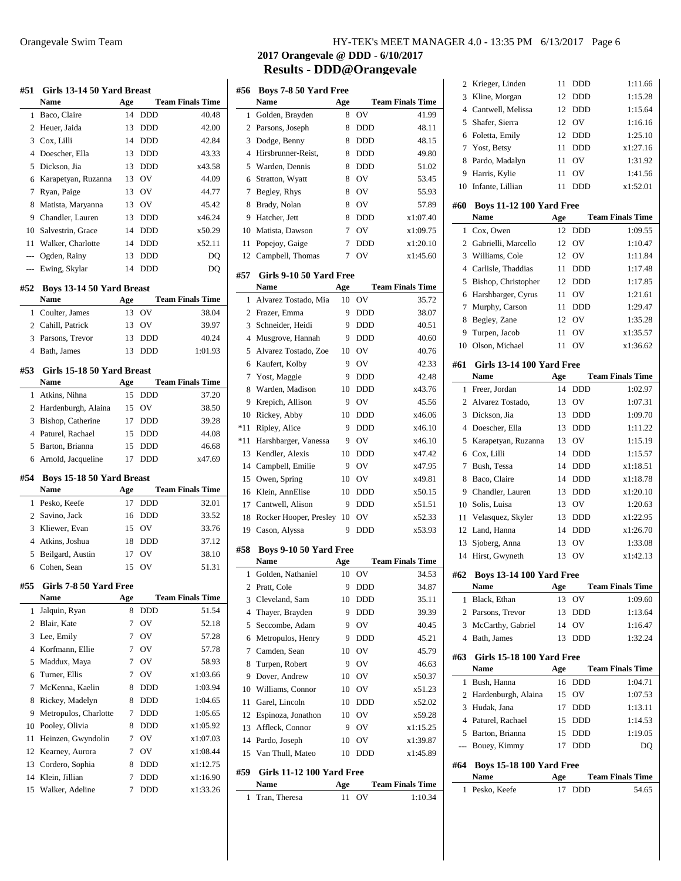| Baco, Claire<br>14<br><b>DDD</b><br>40.48<br>1<br>$\overline{2}$<br>Heuer, Jaida<br>13<br><b>DDD</b><br>42.00<br>Cox, Lilli<br>3<br>14<br><b>DDD</b><br>42.84<br>4<br>Doescher, Ella<br>43.33<br>13<br><b>DDD</b><br>5<br>Dickson, Jia<br>13<br><b>DDD</b><br>x43.58<br>13 OV<br>44.09<br>Karapetyan, Ruzanna<br>6<br>7<br>Ryan, Paige<br>13 OV<br>44.77<br>45.42<br>8<br>Matista, Maryanna<br>13 OV<br>x46.24<br>Chandler, Lauren<br>13<br><b>DDD</b><br>9<br>x50.29<br>10 Salvestrin, Grace<br>14<br><b>DDD</b><br>11<br>Walker, Charlotte<br><b>DDD</b><br>x52.11<br>14<br>--- Ogden, Rainy<br>13<br><b>DDD</b><br>DO<br>Ewing, Skylar<br><b>DDD</b><br>14<br>DQ<br>---<br>#52<br>Boys 13-14 50 Yard Breast<br><b>Name</b><br>Age<br><b>Team Finals Time</b><br>OV<br>38.04<br>Coulter, James<br>13<br>1<br>2 Cahill, Patrick<br>13 OV<br>39.97<br>40.24<br>3<br>Parsons, Trevor<br>13 DDD<br>Bath, James<br>1:01.93<br>$\overline{4}$<br>13<br><b>DDD</b><br>Girls 15-18 50 Yard Breast<br>#53<br><b>Team Finals Time</b><br><b>Name</b><br>Age<br>Atkins, Nihna<br>15<br>37.20<br>1<br><b>DDD</b><br><b>OV</b><br>$\overline{2}$<br>Hardenburgh, Alaina<br>15<br>38.50<br>3<br>Bishop, Catherine<br>17<br><b>DDD</b><br>39.28<br>$\overline{4}$<br>Paturel, Rachael<br>44.08<br>15<br>DDD<br>Barton, Brianna<br>46.68<br>5<br>15<br><b>DDD</b><br>x47.69<br>6<br>Arnold, Jacqueline<br>17<br><b>DDD</b><br>#54<br>Boys 15-18 50 Yard Breast<br><b>Team Finals Time</b><br><b>Name</b><br>Age<br>Pesko, Keefe<br>17<br><b>DDD</b><br>32.01<br>1<br>Savino, Jack<br>2<br>16<br><b>DDD</b><br>33.52<br>3<br>Kliewer, Evan<br>15<br>O <sub>V</sub><br>33.76<br>$\overline{4}$<br>Atkins, Joshua<br>37.12<br>18<br>DDD<br>OV<br>38.10<br>5<br>Beilgard, Austin<br>17<br>Cohen, Sean<br>15<br>OV<br>51.31<br>6<br>Girls 7-8 50 Yard Free<br>#55<br><b>Team Finals Time</b><br>Name<br>Age<br>Jalquin, Ryan<br>DDD<br>51.54<br>8<br>1<br>Blair, Kate<br>OV<br>2<br>7<br>52.18<br>Lee, Emily<br>7<br>OV<br>3<br>57.28<br>OV<br>Korfmann, Ellie<br>7<br>57.78<br>4<br>OV<br>5<br>Maddux, Maya<br>7<br>58.93<br>Turner, Ellis<br>OV<br>7<br>x1:03.66<br>6<br>McKenna, Kaelin<br>$\rm DDD$<br>1:03.94<br>7<br>8<br>Rickey, Madelyn<br>8<br><b>DDD</b><br>1:04.65<br>8<br>Metropulos, Charlotte<br>7<br><b>DDD</b><br>9<br>1:05.65<br>Pooley, Olivia<br><b>DDD</b><br>x1:05.92<br>10<br>8<br>Heinzen, Gwyndolin<br>7<br>OV<br>x1:07.03<br>11<br>Kearney, Aurora<br>12<br>7<br>OV<br>x1:08.44<br>Cordero, Sophia<br>x1:12.75<br>8<br>DDD<br>13<br>14<br>Klein, Jillian<br>7<br>x1:16.90<br>DDD | #51 | Girls 13-14 50 Yard Breast<br><b>Name</b> | Age |            | <b>Team Finals Time</b> |
|----------------------------------------------------------------------------------------------------------------------------------------------------------------------------------------------------------------------------------------------------------------------------------------------------------------------------------------------------------------------------------------------------------------------------------------------------------------------------------------------------------------------------------------------------------------------------------------------------------------------------------------------------------------------------------------------------------------------------------------------------------------------------------------------------------------------------------------------------------------------------------------------------------------------------------------------------------------------------------------------------------------------------------------------------------------------------------------------------------------------------------------------------------------------------------------------------------------------------------------------------------------------------------------------------------------------------------------------------------------------------------------------------------------------------------------------------------------------------------------------------------------------------------------------------------------------------------------------------------------------------------------------------------------------------------------------------------------------------------------------------------------------------------------------------------------------------------------------------------------------------------------------------------------------------------------------------------------------------------------------------------------------------------------------------------------------------------------------------------------------------------------------------------------------------------------------------------------------------------------------------------------------------------------------------------------------------------------------------------------------------------------------------------------------------------------------------------------------------------------------------------------------------------------------------------------------------------------|-----|-------------------------------------------|-----|------------|-------------------------|
|                                                                                                                                                                                                                                                                                                                                                                                                                                                                                                                                                                                                                                                                                                                                                                                                                                                                                                                                                                                                                                                                                                                                                                                                                                                                                                                                                                                                                                                                                                                                                                                                                                                                                                                                                                                                                                                                                                                                                                                                                                                                                                                                                                                                                                                                                                                                                                                                                                                                                                                                                                                        |     |                                           |     |            |                         |
|                                                                                                                                                                                                                                                                                                                                                                                                                                                                                                                                                                                                                                                                                                                                                                                                                                                                                                                                                                                                                                                                                                                                                                                                                                                                                                                                                                                                                                                                                                                                                                                                                                                                                                                                                                                                                                                                                                                                                                                                                                                                                                                                                                                                                                                                                                                                                                                                                                                                                                                                                                                        |     |                                           |     |            |                         |
|                                                                                                                                                                                                                                                                                                                                                                                                                                                                                                                                                                                                                                                                                                                                                                                                                                                                                                                                                                                                                                                                                                                                                                                                                                                                                                                                                                                                                                                                                                                                                                                                                                                                                                                                                                                                                                                                                                                                                                                                                                                                                                                                                                                                                                                                                                                                                                                                                                                                                                                                                                                        |     |                                           |     |            |                         |
|                                                                                                                                                                                                                                                                                                                                                                                                                                                                                                                                                                                                                                                                                                                                                                                                                                                                                                                                                                                                                                                                                                                                                                                                                                                                                                                                                                                                                                                                                                                                                                                                                                                                                                                                                                                                                                                                                                                                                                                                                                                                                                                                                                                                                                                                                                                                                                                                                                                                                                                                                                                        |     |                                           |     |            |                         |
|                                                                                                                                                                                                                                                                                                                                                                                                                                                                                                                                                                                                                                                                                                                                                                                                                                                                                                                                                                                                                                                                                                                                                                                                                                                                                                                                                                                                                                                                                                                                                                                                                                                                                                                                                                                                                                                                                                                                                                                                                                                                                                                                                                                                                                                                                                                                                                                                                                                                                                                                                                                        |     |                                           |     |            |                         |
|                                                                                                                                                                                                                                                                                                                                                                                                                                                                                                                                                                                                                                                                                                                                                                                                                                                                                                                                                                                                                                                                                                                                                                                                                                                                                                                                                                                                                                                                                                                                                                                                                                                                                                                                                                                                                                                                                                                                                                                                                                                                                                                                                                                                                                                                                                                                                                                                                                                                                                                                                                                        |     |                                           |     |            |                         |
|                                                                                                                                                                                                                                                                                                                                                                                                                                                                                                                                                                                                                                                                                                                                                                                                                                                                                                                                                                                                                                                                                                                                                                                                                                                                                                                                                                                                                                                                                                                                                                                                                                                                                                                                                                                                                                                                                                                                                                                                                                                                                                                                                                                                                                                                                                                                                                                                                                                                                                                                                                                        |     |                                           |     |            |                         |
|                                                                                                                                                                                                                                                                                                                                                                                                                                                                                                                                                                                                                                                                                                                                                                                                                                                                                                                                                                                                                                                                                                                                                                                                                                                                                                                                                                                                                                                                                                                                                                                                                                                                                                                                                                                                                                                                                                                                                                                                                                                                                                                                                                                                                                                                                                                                                                                                                                                                                                                                                                                        |     |                                           |     |            |                         |
|                                                                                                                                                                                                                                                                                                                                                                                                                                                                                                                                                                                                                                                                                                                                                                                                                                                                                                                                                                                                                                                                                                                                                                                                                                                                                                                                                                                                                                                                                                                                                                                                                                                                                                                                                                                                                                                                                                                                                                                                                                                                                                                                                                                                                                                                                                                                                                                                                                                                                                                                                                                        |     |                                           |     |            |                         |
|                                                                                                                                                                                                                                                                                                                                                                                                                                                                                                                                                                                                                                                                                                                                                                                                                                                                                                                                                                                                                                                                                                                                                                                                                                                                                                                                                                                                                                                                                                                                                                                                                                                                                                                                                                                                                                                                                                                                                                                                                                                                                                                                                                                                                                                                                                                                                                                                                                                                                                                                                                                        |     |                                           |     |            |                         |
|                                                                                                                                                                                                                                                                                                                                                                                                                                                                                                                                                                                                                                                                                                                                                                                                                                                                                                                                                                                                                                                                                                                                                                                                                                                                                                                                                                                                                                                                                                                                                                                                                                                                                                                                                                                                                                                                                                                                                                                                                                                                                                                                                                                                                                                                                                                                                                                                                                                                                                                                                                                        |     |                                           |     |            |                         |
|                                                                                                                                                                                                                                                                                                                                                                                                                                                                                                                                                                                                                                                                                                                                                                                                                                                                                                                                                                                                                                                                                                                                                                                                                                                                                                                                                                                                                                                                                                                                                                                                                                                                                                                                                                                                                                                                                                                                                                                                                                                                                                                                                                                                                                                                                                                                                                                                                                                                                                                                                                                        |     |                                           |     |            |                         |
|                                                                                                                                                                                                                                                                                                                                                                                                                                                                                                                                                                                                                                                                                                                                                                                                                                                                                                                                                                                                                                                                                                                                                                                                                                                                                                                                                                                                                                                                                                                                                                                                                                                                                                                                                                                                                                                                                                                                                                                                                                                                                                                                                                                                                                                                                                                                                                                                                                                                                                                                                                                        |     |                                           |     |            |                         |
|                                                                                                                                                                                                                                                                                                                                                                                                                                                                                                                                                                                                                                                                                                                                                                                                                                                                                                                                                                                                                                                                                                                                                                                                                                                                                                                                                                                                                                                                                                                                                                                                                                                                                                                                                                                                                                                                                                                                                                                                                                                                                                                                                                                                                                                                                                                                                                                                                                                                                                                                                                                        |     |                                           |     |            |                         |
|                                                                                                                                                                                                                                                                                                                                                                                                                                                                                                                                                                                                                                                                                                                                                                                                                                                                                                                                                                                                                                                                                                                                                                                                                                                                                                                                                                                                                                                                                                                                                                                                                                                                                                                                                                                                                                                                                                                                                                                                                                                                                                                                                                                                                                                                                                                                                                                                                                                                                                                                                                                        |     |                                           |     |            |                         |
|                                                                                                                                                                                                                                                                                                                                                                                                                                                                                                                                                                                                                                                                                                                                                                                                                                                                                                                                                                                                                                                                                                                                                                                                                                                                                                                                                                                                                                                                                                                                                                                                                                                                                                                                                                                                                                                                                                                                                                                                                                                                                                                                                                                                                                                                                                                                                                                                                                                                                                                                                                                        |     |                                           |     |            |                         |
|                                                                                                                                                                                                                                                                                                                                                                                                                                                                                                                                                                                                                                                                                                                                                                                                                                                                                                                                                                                                                                                                                                                                                                                                                                                                                                                                                                                                                                                                                                                                                                                                                                                                                                                                                                                                                                                                                                                                                                                                                                                                                                                                                                                                                                                                                                                                                                                                                                                                                                                                                                                        |     |                                           |     |            |                         |
|                                                                                                                                                                                                                                                                                                                                                                                                                                                                                                                                                                                                                                                                                                                                                                                                                                                                                                                                                                                                                                                                                                                                                                                                                                                                                                                                                                                                                                                                                                                                                                                                                                                                                                                                                                                                                                                                                                                                                                                                                                                                                                                                                                                                                                                                                                                                                                                                                                                                                                                                                                                        |     |                                           |     |            |                         |
|                                                                                                                                                                                                                                                                                                                                                                                                                                                                                                                                                                                                                                                                                                                                                                                                                                                                                                                                                                                                                                                                                                                                                                                                                                                                                                                                                                                                                                                                                                                                                                                                                                                                                                                                                                                                                                                                                                                                                                                                                                                                                                                                                                                                                                                                                                                                                                                                                                                                                                                                                                                        |     |                                           |     |            |                         |
|                                                                                                                                                                                                                                                                                                                                                                                                                                                                                                                                                                                                                                                                                                                                                                                                                                                                                                                                                                                                                                                                                                                                                                                                                                                                                                                                                                                                                                                                                                                                                                                                                                                                                                                                                                                                                                                                                                                                                                                                                                                                                                                                                                                                                                                                                                                                                                                                                                                                                                                                                                                        |     |                                           |     |            |                         |
|                                                                                                                                                                                                                                                                                                                                                                                                                                                                                                                                                                                                                                                                                                                                                                                                                                                                                                                                                                                                                                                                                                                                                                                                                                                                                                                                                                                                                                                                                                                                                                                                                                                                                                                                                                                                                                                                                                                                                                                                                                                                                                                                                                                                                                                                                                                                                                                                                                                                                                                                                                                        |     |                                           |     |            |                         |
|                                                                                                                                                                                                                                                                                                                                                                                                                                                                                                                                                                                                                                                                                                                                                                                                                                                                                                                                                                                                                                                                                                                                                                                                                                                                                                                                                                                                                                                                                                                                                                                                                                                                                                                                                                                                                                                                                                                                                                                                                                                                                                                                                                                                                                                                                                                                                                                                                                                                                                                                                                                        |     |                                           |     |            |                         |
|                                                                                                                                                                                                                                                                                                                                                                                                                                                                                                                                                                                                                                                                                                                                                                                                                                                                                                                                                                                                                                                                                                                                                                                                                                                                                                                                                                                                                                                                                                                                                                                                                                                                                                                                                                                                                                                                                                                                                                                                                                                                                                                                                                                                                                                                                                                                                                                                                                                                                                                                                                                        |     |                                           |     |            |                         |
|                                                                                                                                                                                                                                                                                                                                                                                                                                                                                                                                                                                                                                                                                                                                                                                                                                                                                                                                                                                                                                                                                                                                                                                                                                                                                                                                                                                                                                                                                                                                                                                                                                                                                                                                                                                                                                                                                                                                                                                                                                                                                                                                                                                                                                                                                                                                                                                                                                                                                                                                                                                        |     |                                           |     |            |                         |
|                                                                                                                                                                                                                                                                                                                                                                                                                                                                                                                                                                                                                                                                                                                                                                                                                                                                                                                                                                                                                                                                                                                                                                                                                                                                                                                                                                                                                                                                                                                                                                                                                                                                                                                                                                                                                                                                                                                                                                                                                                                                                                                                                                                                                                                                                                                                                                                                                                                                                                                                                                                        |     |                                           |     |            |                         |
|                                                                                                                                                                                                                                                                                                                                                                                                                                                                                                                                                                                                                                                                                                                                                                                                                                                                                                                                                                                                                                                                                                                                                                                                                                                                                                                                                                                                                                                                                                                                                                                                                                                                                                                                                                                                                                                                                                                                                                                                                                                                                                                                                                                                                                                                                                                                                                                                                                                                                                                                                                                        |     |                                           |     |            |                         |
|                                                                                                                                                                                                                                                                                                                                                                                                                                                                                                                                                                                                                                                                                                                                                                                                                                                                                                                                                                                                                                                                                                                                                                                                                                                                                                                                                                                                                                                                                                                                                                                                                                                                                                                                                                                                                                                                                                                                                                                                                                                                                                                                                                                                                                                                                                                                                                                                                                                                                                                                                                                        |     |                                           |     |            |                         |
|                                                                                                                                                                                                                                                                                                                                                                                                                                                                                                                                                                                                                                                                                                                                                                                                                                                                                                                                                                                                                                                                                                                                                                                                                                                                                                                                                                                                                                                                                                                                                                                                                                                                                                                                                                                                                                                                                                                                                                                                                                                                                                                                                                                                                                                                                                                                                                                                                                                                                                                                                                                        |     |                                           |     |            |                         |
|                                                                                                                                                                                                                                                                                                                                                                                                                                                                                                                                                                                                                                                                                                                                                                                                                                                                                                                                                                                                                                                                                                                                                                                                                                                                                                                                                                                                                                                                                                                                                                                                                                                                                                                                                                                                                                                                                                                                                                                                                                                                                                                                                                                                                                                                                                                                                                                                                                                                                                                                                                                        |     |                                           |     |            |                         |
|                                                                                                                                                                                                                                                                                                                                                                                                                                                                                                                                                                                                                                                                                                                                                                                                                                                                                                                                                                                                                                                                                                                                                                                                                                                                                                                                                                                                                                                                                                                                                                                                                                                                                                                                                                                                                                                                                                                                                                                                                                                                                                                                                                                                                                                                                                                                                                                                                                                                                                                                                                                        |     |                                           |     |            |                         |
|                                                                                                                                                                                                                                                                                                                                                                                                                                                                                                                                                                                                                                                                                                                                                                                                                                                                                                                                                                                                                                                                                                                                                                                                                                                                                                                                                                                                                                                                                                                                                                                                                                                                                                                                                                                                                                                                                                                                                                                                                                                                                                                                                                                                                                                                                                                                                                                                                                                                                                                                                                                        |     |                                           |     |            |                         |
|                                                                                                                                                                                                                                                                                                                                                                                                                                                                                                                                                                                                                                                                                                                                                                                                                                                                                                                                                                                                                                                                                                                                                                                                                                                                                                                                                                                                                                                                                                                                                                                                                                                                                                                                                                                                                                                                                                                                                                                                                                                                                                                                                                                                                                                                                                                                                                                                                                                                                                                                                                                        |     |                                           |     |            |                         |
|                                                                                                                                                                                                                                                                                                                                                                                                                                                                                                                                                                                                                                                                                                                                                                                                                                                                                                                                                                                                                                                                                                                                                                                                                                                                                                                                                                                                                                                                                                                                                                                                                                                                                                                                                                                                                                                                                                                                                                                                                                                                                                                                                                                                                                                                                                                                                                                                                                                                                                                                                                                        |     |                                           |     |            |                         |
|                                                                                                                                                                                                                                                                                                                                                                                                                                                                                                                                                                                                                                                                                                                                                                                                                                                                                                                                                                                                                                                                                                                                                                                                                                                                                                                                                                                                                                                                                                                                                                                                                                                                                                                                                                                                                                                                                                                                                                                                                                                                                                                                                                                                                                                                                                                                                                                                                                                                                                                                                                                        |     |                                           |     |            |                         |
|                                                                                                                                                                                                                                                                                                                                                                                                                                                                                                                                                                                                                                                                                                                                                                                                                                                                                                                                                                                                                                                                                                                                                                                                                                                                                                                                                                                                                                                                                                                                                                                                                                                                                                                                                                                                                                                                                                                                                                                                                                                                                                                                                                                                                                                                                                                                                                                                                                                                                                                                                                                        |     |                                           |     |            |                         |
|                                                                                                                                                                                                                                                                                                                                                                                                                                                                                                                                                                                                                                                                                                                                                                                                                                                                                                                                                                                                                                                                                                                                                                                                                                                                                                                                                                                                                                                                                                                                                                                                                                                                                                                                                                                                                                                                                                                                                                                                                                                                                                                                                                                                                                                                                                                                                                                                                                                                                                                                                                                        |     |                                           |     |            |                         |
|                                                                                                                                                                                                                                                                                                                                                                                                                                                                                                                                                                                                                                                                                                                                                                                                                                                                                                                                                                                                                                                                                                                                                                                                                                                                                                                                                                                                                                                                                                                                                                                                                                                                                                                                                                                                                                                                                                                                                                                                                                                                                                                                                                                                                                                                                                                                                                                                                                                                                                                                                                                        |     |                                           |     |            |                         |
|                                                                                                                                                                                                                                                                                                                                                                                                                                                                                                                                                                                                                                                                                                                                                                                                                                                                                                                                                                                                                                                                                                                                                                                                                                                                                                                                                                                                                                                                                                                                                                                                                                                                                                                                                                                                                                                                                                                                                                                                                                                                                                                                                                                                                                                                                                                                                                                                                                                                                                                                                                                        |     |                                           |     |            |                         |
|                                                                                                                                                                                                                                                                                                                                                                                                                                                                                                                                                                                                                                                                                                                                                                                                                                                                                                                                                                                                                                                                                                                                                                                                                                                                                                                                                                                                                                                                                                                                                                                                                                                                                                                                                                                                                                                                                                                                                                                                                                                                                                                                                                                                                                                                                                                                                                                                                                                                                                                                                                                        |     |                                           |     |            |                         |
|                                                                                                                                                                                                                                                                                                                                                                                                                                                                                                                                                                                                                                                                                                                                                                                                                                                                                                                                                                                                                                                                                                                                                                                                                                                                                                                                                                                                                                                                                                                                                                                                                                                                                                                                                                                                                                                                                                                                                                                                                                                                                                                                                                                                                                                                                                                                                                                                                                                                                                                                                                                        |     |                                           |     |            |                         |
|                                                                                                                                                                                                                                                                                                                                                                                                                                                                                                                                                                                                                                                                                                                                                                                                                                                                                                                                                                                                                                                                                                                                                                                                                                                                                                                                                                                                                                                                                                                                                                                                                                                                                                                                                                                                                                                                                                                                                                                                                                                                                                                                                                                                                                                                                                                                                                                                                                                                                                                                                                                        |     |                                           |     |            |                         |
|                                                                                                                                                                                                                                                                                                                                                                                                                                                                                                                                                                                                                                                                                                                                                                                                                                                                                                                                                                                                                                                                                                                                                                                                                                                                                                                                                                                                                                                                                                                                                                                                                                                                                                                                                                                                                                                                                                                                                                                                                                                                                                                                                                                                                                                                                                                                                                                                                                                                                                                                                                                        |     |                                           |     |            |                         |
|                                                                                                                                                                                                                                                                                                                                                                                                                                                                                                                                                                                                                                                                                                                                                                                                                                                                                                                                                                                                                                                                                                                                                                                                                                                                                                                                                                                                                                                                                                                                                                                                                                                                                                                                                                                                                                                                                                                                                                                                                                                                                                                                                                                                                                                                                                                                                                                                                                                                                                                                                                                        |     |                                           |     |            |                         |
|                                                                                                                                                                                                                                                                                                                                                                                                                                                                                                                                                                                                                                                                                                                                                                                                                                                                                                                                                                                                                                                                                                                                                                                                                                                                                                                                                                                                                                                                                                                                                                                                                                                                                                                                                                                                                                                                                                                                                                                                                                                                                                                                                                                                                                                                                                                                                                                                                                                                                                                                                                                        |     |                                           |     |            |                         |
|                                                                                                                                                                                                                                                                                                                                                                                                                                                                                                                                                                                                                                                                                                                                                                                                                                                                                                                                                                                                                                                                                                                                                                                                                                                                                                                                                                                                                                                                                                                                                                                                                                                                                                                                                                                                                                                                                                                                                                                                                                                                                                                                                                                                                                                                                                                                                                                                                                                                                                                                                                                        |     |                                           |     |            |                         |
|                                                                                                                                                                                                                                                                                                                                                                                                                                                                                                                                                                                                                                                                                                                                                                                                                                                                                                                                                                                                                                                                                                                                                                                                                                                                                                                                                                                                                                                                                                                                                                                                                                                                                                                                                                                                                                                                                                                                                                                                                                                                                                                                                                                                                                                                                                                                                                                                                                                                                                                                                                                        |     |                                           |     |            |                         |
|                                                                                                                                                                                                                                                                                                                                                                                                                                                                                                                                                                                                                                                                                                                                                                                                                                                                                                                                                                                                                                                                                                                                                                                                                                                                                                                                                                                                                                                                                                                                                                                                                                                                                                                                                                                                                                                                                                                                                                                                                                                                                                                                                                                                                                                                                                                                                                                                                                                                                                                                                                                        |     |                                           |     |            |                         |
|                                                                                                                                                                                                                                                                                                                                                                                                                                                                                                                                                                                                                                                                                                                                                                                                                                                                                                                                                                                                                                                                                                                                                                                                                                                                                                                                                                                                                                                                                                                                                                                                                                                                                                                                                                                                                                                                                                                                                                                                                                                                                                                                                                                                                                                                                                                                                                                                                                                                                                                                                                                        |     |                                           |     |            |                         |
|                                                                                                                                                                                                                                                                                                                                                                                                                                                                                                                                                                                                                                                                                                                                                                                                                                                                                                                                                                                                                                                                                                                                                                                                                                                                                                                                                                                                                                                                                                                                                                                                                                                                                                                                                                                                                                                                                                                                                                                                                                                                                                                                                                                                                                                                                                                                                                                                                                                                                                                                                                                        |     |                                           |     |            |                         |
|                                                                                                                                                                                                                                                                                                                                                                                                                                                                                                                                                                                                                                                                                                                                                                                                                                                                                                                                                                                                                                                                                                                                                                                                                                                                                                                                                                                                                                                                                                                                                                                                                                                                                                                                                                                                                                                                                                                                                                                                                                                                                                                                                                                                                                                                                                                                                                                                                                                                                                                                                                                        |     |                                           |     |            |                         |
|                                                                                                                                                                                                                                                                                                                                                                                                                                                                                                                                                                                                                                                                                                                                                                                                                                                                                                                                                                                                                                                                                                                                                                                                                                                                                                                                                                                                                                                                                                                                                                                                                                                                                                                                                                                                                                                                                                                                                                                                                                                                                                                                                                                                                                                                                                                                                                                                                                                                                                                                                                                        |     |                                           |     |            |                         |
|                                                                                                                                                                                                                                                                                                                                                                                                                                                                                                                                                                                                                                                                                                                                                                                                                                                                                                                                                                                                                                                                                                                                                                                                                                                                                                                                                                                                                                                                                                                                                                                                                                                                                                                                                                                                                                                                                                                                                                                                                                                                                                                                                                                                                                                                                                                                                                                                                                                                                                                                                                                        |     | 15 Walker, Adeline                        | 7   | <b>DDD</b> | x1:33.26                |

#### Orangevale Swim Team HY-TEK's MEET MANAGER 4.0 - 13:35 PM 6/13/2017 Page 6

| #56            | Boys 7-8 50 Yard Free                    |          |            |                         |
|----------------|------------------------------------------|----------|------------|-------------------------|
|                | <b>Name</b>                              | Age      |            | <b>Team Finals Time</b> |
| 1              | Golden, Brayden                          | 8        | OV         | 41.99                   |
| 2              | Parsons, Joseph                          | 8        | DDD        | 48.11                   |
| 3              | Dodge, Benny                             | 8        | <b>DDD</b> | 48.15                   |
| $\overline{4}$ | Hirsbrunner-Reist,                       | 8        | <b>DDD</b> | 49.80                   |
| 5              | Warden, Dennis                           | 8        | <b>DDD</b> | 51.02                   |
| 6              | Stratton, Wyatt                          | 8        | OV         | 53.45                   |
| 7              | Begley, Rhys                             | 8        | <b>OV</b>  | 55.93                   |
| 8              | Brady, Nolan                             | 8        | OV         | 57.89                   |
| 9              | Hatcher, Jett                            | 8        | DDD        | x1:07.40                |
| 10             | Matista, Dawson                          | 7        | OV         | x1:09.75                |
| 11             | Popejoy, Gaige                           | 7        | DDD        | x1:20.10                |
| 12             | Campbell, Thomas                         | 7        | OV         | x1:45.60                |
|                | #57 Girls 9-10 50 Yard Free              |          |            |                         |
|                | Name                                     | Age      |            | <b>Team Finals Time</b> |
| 1              | Alvarez Tostado, Mia                     | 10       | OV         | 35.72                   |
| 2              | Frazer, Emma                             | 9        | DDD        | 38.07                   |
| 3              | Schneider, Heidi                         | 9        | <b>DDD</b> | 40.51                   |
| $\overline{4}$ | Musgrove, Hannah                         | 9        | <b>DDD</b> | 40.60                   |
| 5              | Alvarez Tostado, Zoe                     | 10       | OV         | 40.76                   |
| 6              | Kaufert, Kolby                           | 9        | OV         | 42.33                   |
| 7              | Yost, Maggie                             | 9        | <b>DDD</b> | 42.48                   |
| 8              | Warden, Madison                          | 10       | <b>DDD</b> | x43.76                  |
| 9              | Krepich, Allison                         | 9        | OV         | 45.56                   |
| 10             | Rickey, Abby                             | 10       | <b>DDD</b> | x46.06                  |
| $*11$          | Ripley, Alice                            | 9        | <b>DDD</b> | x46.10                  |
| $*11$          | Harshbarger, Vanessa                     | 9        | OV         | x46.10                  |
| 13             | Kendler, Alexis                          | 10       | <b>DDD</b> | x47.42                  |
| 14             | Campbell, Emilie                         | 9        | OV         | x47.95                  |
| 15             | Owen, Spring                             | 10       | OV         | x49.81                  |
| 16             | Klein, AnnElise                          | 10       | <b>DDD</b> | x50.15                  |
| 17             | Cantwell, Alison                         | 9        | <b>DDD</b> | x51.51                  |
| 18             | Rocker Hooper, Presley                   | 10       | OV         | x52.33                  |
| 19             | Cason, Alyssa                            | 9        | DDD        | x53.93                  |
| #58            | Boys 9-10 50 Yard Free                   |          |            |                         |
|                | Name                                     | Age      |            | <b>Team Finals Time</b> |
| 1              | Golden, Nathaniel                        | $10\,$   | OV         | 34.53                   |
| 2              | Pratt, Cole                              | 9        | DDD        | 34.87                   |
| 3              | Cleveland, Sam                           | 10       | DDD        | 35.11                   |
| 4              | Thayer, Brayden                          | 9        | DDD        | 39.39                   |
| 5              | Seccombe, Adam                           | 9        | OV         | 40.45                   |
| 6              | Metropulos, Henry                        | 9        | DDD        | 45.21                   |
| 7              | Camden, Sean                             | 10       | OV         | 45.79                   |
| 8              | Turpen, Robert                           | 9        | OV         | 46.63                   |
| 9              | Dover, Andrew                            | 10       | OV         | x50.37                  |
| 10             | Williams, Connor<br>Garel, Lincoln       | 10<br>10 | OV<br>DDD  | x51.23<br>x52.02        |
| 11<br>12       | Espinoza, Jonathon                       | 10       | OV         | x59.28                  |
| 13             | Affleck, Connor                          | 9        | OV         | x1:15.25                |
| 14             | Pardo, Joseph                            | 10       | OV         | x1:39.87                |
| 15             | Van Thull, Mateo                         | 10       | DDD        | x1:45.89                |
|                |                                          |          |            |                         |
| #59            | <b>Girls 11-12 100 Yard Free</b><br>Name | Age      |            | <b>Team Finals Time</b> |
| 1              | Tran, Theresa                            | 11       | OV         | 1:10.34                 |
|                |                                          |          |            |                         |

| 2   | Krieger, Linden                  | 11        | <b>DDD</b>     | 1:11.66                            |
|-----|----------------------------------|-----------|----------------|------------------------------------|
| 3   | Kline, Morgan                    | 12        | <b>DDD</b>     | 1:15.28                            |
|     | 4 Cantwell, Melissa              | 12        | <b>DDD</b>     | 1:15.64                            |
| 5   | Shafer, Sierra                   | 12        | OV             | 1:16.16                            |
|     | 6 Foletta, Emily                 | 12        | <b>DDD</b>     | 1:25.10                            |
|     | 7 Yost, Betsy                    | 11        | <b>DDD</b>     | x1:27.16                           |
| 8   | Pardo, Madalyn                   | 11        | OV             | 1:31.92                            |
|     | 9 Harris, Kylie                  | 11        | OV             | 1:41.56                            |
|     | 10 Infante, Lillian              | 11        | <b>DDD</b>     | x1:52.01                           |
| #60 | <b>Boys 11-12 100 Yard Free</b>  |           |                |                                    |
|     | <b>Name</b>                      | Age       |                | <b>Team Finals Time</b>            |
| 1   | Cox, Owen                        | 12        | <b>DDD</b>     | 1:09.55                            |
|     | 2 Gabrielli, Marcello            | 12        | OV             | 1:10.47                            |
|     | 3 Williams, Cole                 | 12        | OV             | 1:11.84                            |
|     | 4 Carlisle, Thaddias             | 11        | <b>DDD</b>     | 1:17.48                            |
|     | 5 Bishop, Christopher            | 12        | <b>DDD</b>     | 1:17.85                            |
|     | 6 Harshbarger, Cyrus             |           | 11 OV          | 1:21.61                            |
| 7   | Murphy, Carson                   | 11        | <b>DDD</b>     | 1:29.47                            |
| 8   | Begley, Zane                     |           | 12 OV          | 1:35.28                            |
|     | 9 Turpen, Jacob                  | 11        | OV             | x1:35.57                           |
|     | 10 Olson, Michael                | 11        | O <sub>V</sub> | x1:36.62                           |
|     |                                  |           |                |                                    |
| #61 | <b>Girls 13-14 100 Yard Free</b> |           |                |                                    |
|     | <b>Name</b>                      | Age       |                | <b>Team Finals Time</b>            |
| 1   | Freer, Jordan                    | 14        | <b>DDD</b>     | 1:02.97                            |
|     | 2 Alvarez Tostado,               | 13        | OV             | 1:07.31                            |
|     | 3 Dickson, Jia                   | 13        | <b>DDD</b>     | 1:09.70                            |
|     | 4 Doescher, Ella                 | 13        | <b>DDD</b>     | 1:11.22                            |
| 5   | Karapetyan, Ruzanna              | 13        | OV             | 1:15.19                            |
|     | 6 Cox, Lilli                     | 14        | <b>DDD</b>     | 1:15.57                            |
| 7   | Bush, Tessa                      | 14        | <b>DDD</b>     | x1:18.51                           |
| 8   | Baco, Claire                     | 14        | <b>DDD</b>     | x1:18.78                           |
| 9   | Chandler, Lauren                 | 13        | <b>DDD</b>     | x1:20.10                           |
|     | 10 Solis, Luisa                  | 13        | <b>OV</b>      | 1:20.63                            |
|     | 11 Velasquez, Skyler             | 13        | <b>DDD</b>     | x1:22.95                           |
|     | 12 Land, Hanna                   | 14        | <b>DDD</b>     | x1:26.70                           |
|     |                                  |           | OV             | 1:33.08                            |
|     | 13 Sjoberg, Anna                 | 13        |                |                                    |
|     | 14 Hirst, Gwyneth                | 13        | OV             | x1:42.13                           |
|     |                                  |           |                |                                    |
| #62 | <b>Boys 13-14 100 Yard Free</b>  |           |                |                                    |
|     | Name                             | Age       |                |                                    |
| 1   | Black, Ethan                     | 13        | OV             | <b>Team Finals Time</b><br>1:09.60 |
|     | 2 Parsons, Trevor                | 13        | DDD            | 1:13.64                            |
|     | 3 McCarthy, Gabriel              | 14        | OV             |                                    |
|     | 4 Bath, James                    | 13        | DDD            | 1:16.47<br>1:32.24                 |
| #63 | Girls 15-18 100 Yard Free        |           |                |                                    |
|     | Name                             | Age       |                | <b>Team Finals Time</b>            |
| 1   | Bush, Hanna                      | 16        | <b>DDD</b>     | 1:04.71                            |
|     | 2 Hardenburgh, Alaina            | 15        | OV             | 1:07.53                            |
|     | 3 Hudak, Jana                    | 17        | DDD            | 1:13.11                            |
|     | 4 Paturel, Rachael               | 15        | DDD            | 1:14.53                            |
|     | 5 Barton, Brianna                | 15        | DDD            | 1:19.05                            |
|     | --- Bouey, Kimmy                 | 17        | <b>DDD</b>     |                                    |
| #64 | <b>Boys 15-18 100 Yard Free</b>  |           |                | DQ                                 |
|     | Name<br>Pesko, Keefe             | Age<br>17 | DDD            | <b>Team Finals Time</b>            |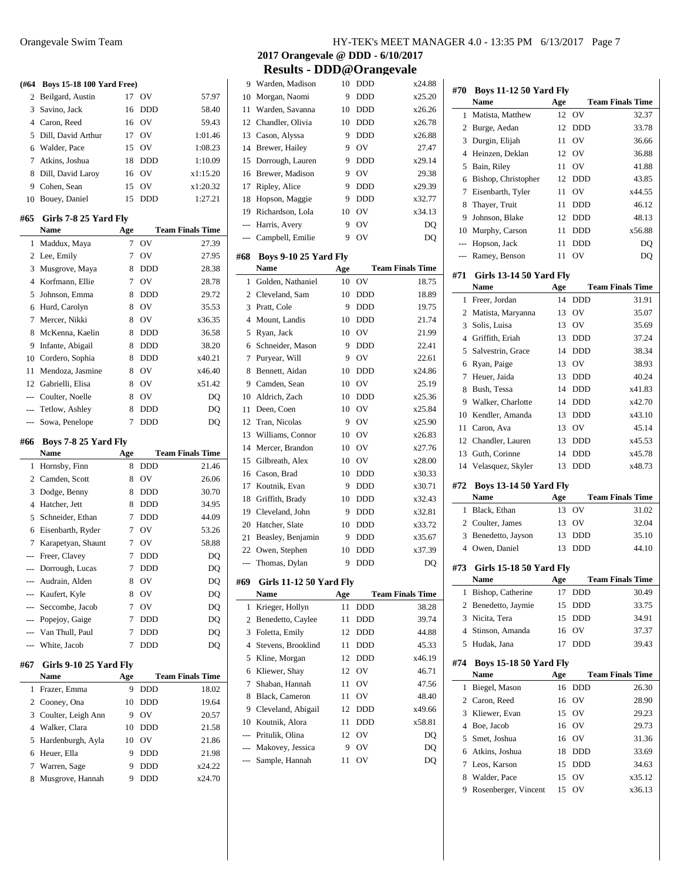| (#64)          | <b>Boys 15-18 100 Yard Free)</b> |        |                   |                         |
|----------------|----------------------------------|--------|-------------------|-------------------------|
| 2              | Beilgard, Austin                 | 17     | OV                | 57.97                   |
| 3              | Savino, Jack                     | 16     | <b>DDD</b>        | 58.40                   |
| $\overline{4}$ | Caron, Reed                      | 16     | OV                | 59.43                   |
| 5              | Dill, David Arthur               | 17     | OV                | 1:01.46                 |
| 6              | Walder, Pace                     | 15     | OV                | 1:08.23                 |
| 7              | Atkins, Joshua                   | 18     | <b>DDD</b>        | 1:10.09                 |
| 8              | Dill, David Laroy                | 16     | OV                | x1:15.20                |
|                | 9 Cohen, Sean                    | 15     | OV                | x1:20.32                |
|                | 10 Bouey, Daniel                 | 15     | DDD               | 1:27.21                 |
|                |                                  |        |                   |                         |
| #65            | Girls 7-8 25 Yard Fly            |        |                   |                         |
|                | Name                             | Age    |                   | <b>Team Finals Time</b> |
| 1              | Maddux, Maya                     | 7      | OV                | 27.39                   |
| 2              | Lee, Emily                       | 7      | OV                | 27.95                   |
| 3              | Musgrove, Maya                   | 8      | <b>DDD</b>        | 28.38                   |
| $\overline{4}$ | Korfmann, Ellie                  | 7      | OV                | 28.78                   |
| 5              | Johnson, Emma                    | 8      | <b>DDD</b>        | 29.72                   |
| 6              | Hurd, Carolyn                    | 8      | OV                | 35.53                   |
| 7              | Mercer, Nikki                    | 8      | OV                | x36.35                  |
| 8              | McKenna, Kaelin                  | 8      | DDD               | 36.58                   |
| 9              | Infante, Abigail                 | 8      | <b>DDD</b>        | 38.20                   |
|                | 10 Cordero, Sophia               | 8      | <b>DDD</b>        | x40.21                  |
| 11             | Mendoza, Jasmine                 | 8      | OV                | x46.40                  |
|                | 12 Gabrielli, Elisa              | 8      | OV                | x51.42                  |
|                | --- Coulter, Noelle              | 8      | OV                | DQ                      |
| ---            | Tetlow, Ashley                   | 8      | DDD               | DQ                      |
| ---            | Sowa, Penelope                   | 7      | <b>DDD</b>        | DQ                      |
|                |                                  |        |                   |                         |
| #66            | Boys 7-8 25 Yard Fly             |        |                   |                         |
|                | Name                             | Age    |                   | <b>Team Finals Time</b> |
| 1              | Hornsby, Finn                    | 8      | <b>DDD</b>        | 21.46                   |
| $\overline{2}$ | Camden, Scott                    | 8      | OV                | 26.06                   |
| 3              | Dodge, Benny                     | 8      | <b>DDD</b>        | 30.70                   |
| $\overline{4}$ | Hatcher, Jett                    | 8      | <b>DDD</b>        | 34.95                   |
| 5              | Schneider, Ethan                 | 7      | <b>DDD</b>        | 44.09                   |
| 6              | Eisenbarth, Ryder                | 7      | OV                | 53.26                   |
| 7              | Karapetyan, Shaunt               | 7      | OV                | 58.88                   |
| $\overline{a}$ | Freer, Clavey                    | 7      | <b>DDD</b>        | DQ                      |
| ---            | Dorrough, Lucas                  | 7      | <b>DDD</b>        | DQ                      |
|                | --- Audrain, Alden               | 8      | OV                | DQ                      |
|                | --- Kaufert, Kyle                | 8      | OV                | DQ                      |
|                | --- Seccombe, Jacob              | 7      | OV                | DQ                      |
|                | --- Popejoy, Gaige               | 7      | DDD               | DQ                      |
|                | --- Van Thull, Paul              | 7      | <b>DDD</b>        | DQ                      |
| ---            | White, Jacob                     | 7      | DDD               | DQ                      |
|                |                                  |        |                   |                         |
| #67            | Girls 9-10 25 Yard Fly           |        |                   |                         |
|                | Name                             | Age    |                   | <b>Team Finals Time</b> |
| 1              | Frazer, Emma                     | 9      | DDD               | 18.02                   |
| 2              | Cooney, Ona                      | 10     | DDD               | 19.64                   |
| 3              | Coulter, Leigh Ann               | 9      | OV                | 20.57                   |
| 4              | Walker, Clara                    | 10     | <b>DDD</b>        | 21.58                   |
| 5              | Hardenburgh, Ayla                | 10     | OV                | 21.86                   |
| 6              | Heuer, Ella                      | 9      | DDD               | 21.98                   |
| 7<br>8         | Warren, Sage<br>Musgrove, Hannah | 9<br>9 | DDD<br><b>DDD</b> | x24.22<br>x24.70        |

| 9              | Warden, Madison                | 10  | DDD            | x24.88                  |
|----------------|--------------------------------|-----|----------------|-------------------------|
| 10             | Morgan, Naomi                  | 9   | DDD            | x25.20                  |
| 11             | Warden, Savanna                | 10  | <b>DDD</b>     | x26.26                  |
| 12             | Chandler, Olivia               | 10  | DDD            | x26.78                  |
| 13             | Cason, Alyssa                  | 9   | DDD            | x26.88                  |
| 14             | Brewer, Hailey                 | 9   | OV             | 27.47                   |
| 15             | Dorrough, Lauren               | 9   | <b>DDD</b>     | x29.14                  |
| 16             | Brewer, Madison                | 9   | OV             | 29.38                   |
| 17             | Ripley, Alice                  | 9   | <b>DDD</b>     | x29.39                  |
| 18             | Hopson, Maggie                 | 9   | DDD            | x32.77                  |
| 19             | Richardson, Lola               | 10  | OV             | x34.13                  |
| $---$          | Harris, Avery                  | 9   | OV             | DQ                      |
| $---$          | Campbell, Emilie               | 9   | OV             | DQ                      |
| #68            | <b>Boys 9-10 25 Yard Fly</b>   |     |                |                         |
|                | <b>Name</b>                    |     |                | <b>Team Finals Time</b> |
|                |                                | Age |                |                         |
| 1              | Golden, Nathaniel              | 10  | OV             | 18.75                   |
| $\overline{c}$ | Cleveland, Sam                 | 10  | <b>DDD</b>     | 18.89                   |
| 3              | Pratt, Cole                    | 9   | <b>DDD</b>     | 19.75                   |
| $\overline{4}$ | Mount. Landis                  | 10  | <b>DDD</b>     | 21.74                   |
| 5              | Ryan, Jack                     | 10  | OV             | 21.99                   |
| 6              | Schneider, Mason               | 9   | <b>DDD</b>     | 22.41                   |
| 7              | Puryear, Will                  | 9   | OV             | 22.61                   |
| 8              | Bennett, Aidan                 | 10  | <b>DDD</b>     | x24.86                  |
| 9.             | Camden, Sean                   | 10  | O <sub>V</sub> | 25.19                   |
| 10             | Aldrich, Zach                  | 10  | <b>DDD</b>     | x25.36                  |
| 11             | Deen, Coen                     | 10  | OV             | x25.84                  |
| 12             | Tran, Nicolas                  | 9   | OV             | x25.90                  |
| 13             | Williams, Connor               | 10  | OV             | x26.83                  |
| 14             | Mercer, Brandon                | 10  | OV             | x27.76                  |
| 15             | Gilbreath, Alex                | 10  | OV             | x28.00                  |
| 16             | Cason, Brad                    | 10  | DDD            | x30.33                  |
| 17             | Koutnik, Evan                  | 9   | DDD            | x30.71                  |
| 18             | Griffith, Brady                | 10  | DDD            | x32.43                  |
| 19             | Cleveland, John                | 9   | DDD            | x32.81                  |
| 20             | Hatcher, Slate                 | 10  | DDD            | x33.72                  |
| 21             | Beasley, Benjamin              | 9   | DDD            | x35.67                  |
| 22             | Owen, Stephen                  | 10  | <b>DDD</b>     | x37.39                  |
| ---            | Thomas, Dylan                  | 9   | DDD            | DO                      |
| #69            | <b>Girls 11-12 50 Yard Fly</b> |     |                |                         |
|                | Name                           | Age |                | <b>Team Finals Time</b> |
| 1              | Krieger, Hollyn                | 11  | <b>DDD</b>     | 38.28                   |
| 2              | Benedetto, Caylee              | 11  | DDD            | 39.74                   |
| 3              | Foletta, Emily                 | 12  | DDD            | 44.88                   |
| 4              | Stevens, Brooklind             | 11  | DDD            | 45.33                   |
| 5              | Kline, Morgan                  | 12  | DDD            | x46.19                  |
| 6              | Kliewer, Shay                  | 12  | OV             | 46.71                   |
| 7              | Shaban, Hannah                 | 11  | OV             | 47.56                   |
| 8              | Black, Cameron                 | 11  | OV             | 48.40                   |
| 9              | Cleveland, Abigail             | 12  | DDD            | x49.66                  |
| 10             | Koutnik, Alora                 | 11  | DDD            | x58.81                  |
| $---$          | Pritulik, Olina                | 12  | OV             | DQ                      |
| ---            | Makovey, Jessica               | 9   | OV             | DQ                      |
|                | Sample, Hannah                 | 11  | OV             | DQ                      |
|                |                                |     |                |                         |

| <b>Team Finals Time</b><br><b>Name</b><br>Age<br>32.37<br>Matista, Matthew<br>12<br>OV<br>1<br>Burge, Aedan<br>12<br>33.78<br>$\overline{2}$<br><b>DDD</b><br>Durgin, Elijah<br>OV<br>36.66<br>3<br>11<br>Heinzen, Deklan<br>OV<br>36.88<br>4<br>12<br>5<br>Bain, Riley<br>OV<br>41.88<br>11<br>Bishop, Christopher<br>12<br><b>DDD</b><br>43.85<br>6<br>7<br>OV<br>x44.55<br>Eisenbarth, Tyler<br>11<br>46.12<br>8<br>Thayer, Truit<br>11<br><b>DDD</b><br>9<br>Johnson, Blake<br>12<br><b>DDD</b><br>48.13<br>x56.88<br>10 Murphy, Carson<br>11<br><b>DDD</b><br>Hopson, Jack<br><b>DDD</b><br>11<br>DO<br>$---$<br>OV<br>Ramey, Benson<br>11<br>DQ<br>$\overline{a}$<br>#71<br><b>Girls 13-14 50 Yard Fly</b><br><b>Team Finals Time</b><br><b>Name</b><br>Age<br>Freer, Jordan<br>14<br><b>DDD</b><br>31.91<br>1<br>OV<br>Matista, Maryanna<br>13<br>35.07<br>2<br>3<br>Solis, Luisa<br>O <sub>V</sub><br>35.69<br>13<br>4 Griffith, Eriah<br>37.24<br>13<br><b>DDD</b><br>38.34<br>5<br>Salvestrin, Grace<br>14<br><b>DDD</b><br>Ryan, Paige<br>13<br>O <sub>V</sub><br>38.93<br>6<br>Heuer, Jaida<br>40.24<br>7<br>13<br><b>DDD</b><br>x41.83<br>8<br>Bush, Tessa<br>14<br><b>DDD</b><br>x42.70<br>Walker, Charlotte<br>9<br>14<br><b>DDD</b><br>10 Kendler, Amanda<br>x43.10<br><b>DDD</b><br>13<br>11 Caron, Ava<br>45.14<br>13<br>OV<br>x45.53<br>12 Chandler, Lauren<br>13<br><b>DDD</b><br>Guth, Corinne<br>x45.78<br>13<br>14<br><b>DDD</b><br>x48.73<br>14<br>Velasquez, Skyler<br>13<br>DDD<br>#72<br><b>Boys 13-14 50 Yard Fly</b><br><b>Name</b><br>Age<br><b>Team Finals Time</b><br>Black, Ethan<br>13<br>OV<br>1<br>31.02<br>2 Coulter, James<br>32.04<br>13<br>OV<br>35.10<br>3<br>Benedetto, Jayson<br>13<br><b>DDD</b><br>44.10<br>$\overline{4}$<br>Owen, Daniel<br>13<br><b>DDD</b><br><b>Girls 15-18 50 Yard Fly</b><br><b>Team Finals Time</b><br>Name<br>Age<br>1<br>Bishop, Catherine<br>17<br>DDD<br>30.49<br>2<br>Benedetto, Jaymie<br>15<br>DDD<br>33.75<br>3<br>15<br><b>DDD</b><br>Nicita, Tera<br>34.91<br>4<br>Stinson, Amanda<br>16<br>OV<br>37.37<br>17<br>5<br>Hudak, Jana<br>DDD<br>39.43<br><b>Boys 15-18 50 Yard Fly</b><br><b>Team Finals Time</b><br>Name<br>Age<br>Biegel, Mason<br>16<br>DDD<br>26.30<br>1<br>Caron, Reed<br>OV<br>2<br>16<br>28.90<br>Kliewer, Evan<br>3<br>15<br>OV<br>29.23<br>Boe, Jacob<br>4<br>OV<br>29.73<br>16<br>5<br>Smet, Joshua<br>OV<br>31.36<br>16<br>Atkins, Joshua<br>6<br>18<br>DDD<br>33.69<br>7<br>Leos, Karson<br>15<br>DDD<br>34.63<br>Walder, Pace<br>OV<br>8<br>15<br>x35.12<br>OV<br>9<br>Rosenberger, Vincent<br>15<br>x36.13 | #70 | <b>Boys 11-12 50 Yard Fly</b> |  |  |
|---------------------------------------------------------------------------------------------------------------------------------------------------------------------------------------------------------------------------------------------------------------------------------------------------------------------------------------------------------------------------------------------------------------------------------------------------------------------------------------------------------------------------------------------------------------------------------------------------------------------------------------------------------------------------------------------------------------------------------------------------------------------------------------------------------------------------------------------------------------------------------------------------------------------------------------------------------------------------------------------------------------------------------------------------------------------------------------------------------------------------------------------------------------------------------------------------------------------------------------------------------------------------------------------------------------------------------------------------------------------------------------------------------------------------------------------------------------------------------------------------------------------------------------------------------------------------------------------------------------------------------------------------------------------------------------------------------------------------------------------------------------------------------------------------------------------------------------------------------------------------------------------------------------------------------------------------------------------------------------------------------------------------------------------------------------------------------------------------------------------------------------------------------------------------------------------------------------------------------------------------------------------------------------------------------------------------------------------------------------------------------------------------------------------------------------------------------------------------------------------------------------------------------------------------------------------------------------------------------------------|-----|-------------------------------|--|--|
|                                                                                                                                                                                                                                                                                                                                                                                                                                                                                                                                                                                                                                                                                                                                                                                                                                                                                                                                                                                                                                                                                                                                                                                                                                                                                                                                                                                                                                                                                                                                                                                                                                                                                                                                                                                                                                                                                                                                                                                                                                                                                                                                                                                                                                                                                                                                                                                                                                                                                                                                                                                                                     |     |                               |  |  |
|                                                                                                                                                                                                                                                                                                                                                                                                                                                                                                                                                                                                                                                                                                                                                                                                                                                                                                                                                                                                                                                                                                                                                                                                                                                                                                                                                                                                                                                                                                                                                                                                                                                                                                                                                                                                                                                                                                                                                                                                                                                                                                                                                                                                                                                                                                                                                                                                                                                                                                                                                                                                                     |     |                               |  |  |
|                                                                                                                                                                                                                                                                                                                                                                                                                                                                                                                                                                                                                                                                                                                                                                                                                                                                                                                                                                                                                                                                                                                                                                                                                                                                                                                                                                                                                                                                                                                                                                                                                                                                                                                                                                                                                                                                                                                                                                                                                                                                                                                                                                                                                                                                                                                                                                                                                                                                                                                                                                                                                     |     |                               |  |  |
|                                                                                                                                                                                                                                                                                                                                                                                                                                                                                                                                                                                                                                                                                                                                                                                                                                                                                                                                                                                                                                                                                                                                                                                                                                                                                                                                                                                                                                                                                                                                                                                                                                                                                                                                                                                                                                                                                                                                                                                                                                                                                                                                                                                                                                                                                                                                                                                                                                                                                                                                                                                                                     |     |                               |  |  |
|                                                                                                                                                                                                                                                                                                                                                                                                                                                                                                                                                                                                                                                                                                                                                                                                                                                                                                                                                                                                                                                                                                                                                                                                                                                                                                                                                                                                                                                                                                                                                                                                                                                                                                                                                                                                                                                                                                                                                                                                                                                                                                                                                                                                                                                                                                                                                                                                                                                                                                                                                                                                                     |     |                               |  |  |
|                                                                                                                                                                                                                                                                                                                                                                                                                                                                                                                                                                                                                                                                                                                                                                                                                                                                                                                                                                                                                                                                                                                                                                                                                                                                                                                                                                                                                                                                                                                                                                                                                                                                                                                                                                                                                                                                                                                                                                                                                                                                                                                                                                                                                                                                                                                                                                                                                                                                                                                                                                                                                     |     |                               |  |  |
|                                                                                                                                                                                                                                                                                                                                                                                                                                                                                                                                                                                                                                                                                                                                                                                                                                                                                                                                                                                                                                                                                                                                                                                                                                                                                                                                                                                                                                                                                                                                                                                                                                                                                                                                                                                                                                                                                                                                                                                                                                                                                                                                                                                                                                                                                                                                                                                                                                                                                                                                                                                                                     |     |                               |  |  |
|                                                                                                                                                                                                                                                                                                                                                                                                                                                                                                                                                                                                                                                                                                                                                                                                                                                                                                                                                                                                                                                                                                                                                                                                                                                                                                                                                                                                                                                                                                                                                                                                                                                                                                                                                                                                                                                                                                                                                                                                                                                                                                                                                                                                                                                                                                                                                                                                                                                                                                                                                                                                                     |     |                               |  |  |
|                                                                                                                                                                                                                                                                                                                                                                                                                                                                                                                                                                                                                                                                                                                                                                                                                                                                                                                                                                                                                                                                                                                                                                                                                                                                                                                                                                                                                                                                                                                                                                                                                                                                                                                                                                                                                                                                                                                                                                                                                                                                                                                                                                                                                                                                                                                                                                                                                                                                                                                                                                                                                     |     |                               |  |  |
|                                                                                                                                                                                                                                                                                                                                                                                                                                                                                                                                                                                                                                                                                                                                                                                                                                                                                                                                                                                                                                                                                                                                                                                                                                                                                                                                                                                                                                                                                                                                                                                                                                                                                                                                                                                                                                                                                                                                                                                                                                                                                                                                                                                                                                                                                                                                                                                                                                                                                                                                                                                                                     |     |                               |  |  |
|                                                                                                                                                                                                                                                                                                                                                                                                                                                                                                                                                                                                                                                                                                                                                                                                                                                                                                                                                                                                                                                                                                                                                                                                                                                                                                                                                                                                                                                                                                                                                                                                                                                                                                                                                                                                                                                                                                                                                                                                                                                                                                                                                                                                                                                                                                                                                                                                                                                                                                                                                                                                                     |     |                               |  |  |
|                                                                                                                                                                                                                                                                                                                                                                                                                                                                                                                                                                                                                                                                                                                                                                                                                                                                                                                                                                                                                                                                                                                                                                                                                                                                                                                                                                                                                                                                                                                                                                                                                                                                                                                                                                                                                                                                                                                                                                                                                                                                                                                                                                                                                                                                                                                                                                                                                                                                                                                                                                                                                     |     |                               |  |  |
|                                                                                                                                                                                                                                                                                                                                                                                                                                                                                                                                                                                                                                                                                                                                                                                                                                                                                                                                                                                                                                                                                                                                                                                                                                                                                                                                                                                                                                                                                                                                                                                                                                                                                                                                                                                                                                                                                                                                                                                                                                                                                                                                                                                                                                                                                                                                                                                                                                                                                                                                                                                                                     |     |                               |  |  |
|                                                                                                                                                                                                                                                                                                                                                                                                                                                                                                                                                                                                                                                                                                                                                                                                                                                                                                                                                                                                                                                                                                                                                                                                                                                                                                                                                                                                                                                                                                                                                                                                                                                                                                                                                                                                                                                                                                                                                                                                                                                                                                                                                                                                                                                                                                                                                                                                                                                                                                                                                                                                                     |     |                               |  |  |
|                                                                                                                                                                                                                                                                                                                                                                                                                                                                                                                                                                                                                                                                                                                                                                                                                                                                                                                                                                                                                                                                                                                                                                                                                                                                                                                                                                                                                                                                                                                                                                                                                                                                                                                                                                                                                                                                                                                                                                                                                                                                                                                                                                                                                                                                                                                                                                                                                                                                                                                                                                                                                     |     |                               |  |  |
|                                                                                                                                                                                                                                                                                                                                                                                                                                                                                                                                                                                                                                                                                                                                                                                                                                                                                                                                                                                                                                                                                                                                                                                                                                                                                                                                                                                                                                                                                                                                                                                                                                                                                                                                                                                                                                                                                                                                                                                                                                                                                                                                                                                                                                                                                                                                                                                                                                                                                                                                                                                                                     |     |                               |  |  |
|                                                                                                                                                                                                                                                                                                                                                                                                                                                                                                                                                                                                                                                                                                                                                                                                                                                                                                                                                                                                                                                                                                                                                                                                                                                                                                                                                                                                                                                                                                                                                                                                                                                                                                                                                                                                                                                                                                                                                                                                                                                                                                                                                                                                                                                                                                                                                                                                                                                                                                                                                                                                                     |     |                               |  |  |
|                                                                                                                                                                                                                                                                                                                                                                                                                                                                                                                                                                                                                                                                                                                                                                                                                                                                                                                                                                                                                                                                                                                                                                                                                                                                                                                                                                                                                                                                                                                                                                                                                                                                                                                                                                                                                                                                                                                                                                                                                                                                                                                                                                                                                                                                                                                                                                                                                                                                                                                                                                                                                     |     |                               |  |  |
|                                                                                                                                                                                                                                                                                                                                                                                                                                                                                                                                                                                                                                                                                                                                                                                                                                                                                                                                                                                                                                                                                                                                                                                                                                                                                                                                                                                                                                                                                                                                                                                                                                                                                                                                                                                                                                                                                                                                                                                                                                                                                                                                                                                                                                                                                                                                                                                                                                                                                                                                                                                                                     |     |                               |  |  |
|                                                                                                                                                                                                                                                                                                                                                                                                                                                                                                                                                                                                                                                                                                                                                                                                                                                                                                                                                                                                                                                                                                                                                                                                                                                                                                                                                                                                                                                                                                                                                                                                                                                                                                                                                                                                                                                                                                                                                                                                                                                                                                                                                                                                                                                                                                                                                                                                                                                                                                                                                                                                                     |     |                               |  |  |
|                                                                                                                                                                                                                                                                                                                                                                                                                                                                                                                                                                                                                                                                                                                                                                                                                                                                                                                                                                                                                                                                                                                                                                                                                                                                                                                                                                                                                                                                                                                                                                                                                                                                                                                                                                                                                                                                                                                                                                                                                                                                                                                                                                                                                                                                                                                                                                                                                                                                                                                                                                                                                     |     |                               |  |  |
|                                                                                                                                                                                                                                                                                                                                                                                                                                                                                                                                                                                                                                                                                                                                                                                                                                                                                                                                                                                                                                                                                                                                                                                                                                                                                                                                                                                                                                                                                                                                                                                                                                                                                                                                                                                                                                                                                                                                                                                                                                                                                                                                                                                                                                                                                                                                                                                                                                                                                                                                                                                                                     |     |                               |  |  |
|                                                                                                                                                                                                                                                                                                                                                                                                                                                                                                                                                                                                                                                                                                                                                                                                                                                                                                                                                                                                                                                                                                                                                                                                                                                                                                                                                                                                                                                                                                                                                                                                                                                                                                                                                                                                                                                                                                                                                                                                                                                                                                                                                                                                                                                                                                                                                                                                                                                                                                                                                                                                                     |     |                               |  |  |
|                                                                                                                                                                                                                                                                                                                                                                                                                                                                                                                                                                                                                                                                                                                                                                                                                                                                                                                                                                                                                                                                                                                                                                                                                                                                                                                                                                                                                                                                                                                                                                                                                                                                                                                                                                                                                                                                                                                                                                                                                                                                                                                                                                                                                                                                                                                                                                                                                                                                                                                                                                                                                     |     |                               |  |  |
|                                                                                                                                                                                                                                                                                                                                                                                                                                                                                                                                                                                                                                                                                                                                                                                                                                                                                                                                                                                                                                                                                                                                                                                                                                                                                                                                                                                                                                                                                                                                                                                                                                                                                                                                                                                                                                                                                                                                                                                                                                                                                                                                                                                                                                                                                                                                                                                                                                                                                                                                                                                                                     |     |                               |  |  |
|                                                                                                                                                                                                                                                                                                                                                                                                                                                                                                                                                                                                                                                                                                                                                                                                                                                                                                                                                                                                                                                                                                                                                                                                                                                                                                                                                                                                                                                                                                                                                                                                                                                                                                                                                                                                                                                                                                                                                                                                                                                                                                                                                                                                                                                                                                                                                                                                                                                                                                                                                                                                                     |     |                               |  |  |
|                                                                                                                                                                                                                                                                                                                                                                                                                                                                                                                                                                                                                                                                                                                                                                                                                                                                                                                                                                                                                                                                                                                                                                                                                                                                                                                                                                                                                                                                                                                                                                                                                                                                                                                                                                                                                                                                                                                                                                                                                                                                                                                                                                                                                                                                                                                                                                                                                                                                                                                                                                                                                     |     |                               |  |  |
|                                                                                                                                                                                                                                                                                                                                                                                                                                                                                                                                                                                                                                                                                                                                                                                                                                                                                                                                                                                                                                                                                                                                                                                                                                                                                                                                                                                                                                                                                                                                                                                                                                                                                                                                                                                                                                                                                                                                                                                                                                                                                                                                                                                                                                                                                                                                                                                                                                                                                                                                                                                                                     |     |                               |  |  |
|                                                                                                                                                                                                                                                                                                                                                                                                                                                                                                                                                                                                                                                                                                                                                                                                                                                                                                                                                                                                                                                                                                                                                                                                                                                                                                                                                                                                                                                                                                                                                                                                                                                                                                                                                                                                                                                                                                                                                                                                                                                                                                                                                                                                                                                                                                                                                                                                                                                                                                                                                                                                                     |     |                               |  |  |
|                                                                                                                                                                                                                                                                                                                                                                                                                                                                                                                                                                                                                                                                                                                                                                                                                                                                                                                                                                                                                                                                                                                                                                                                                                                                                                                                                                                                                                                                                                                                                                                                                                                                                                                                                                                                                                                                                                                                                                                                                                                                                                                                                                                                                                                                                                                                                                                                                                                                                                                                                                                                                     |     |                               |  |  |
|                                                                                                                                                                                                                                                                                                                                                                                                                                                                                                                                                                                                                                                                                                                                                                                                                                                                                                                                                                                                                                                                                                                                                                                                                                                                                                                                                                                                                                                                                                                                                                                                                                                                                                                                                                                                                                                                                                                                                                                                                                                                                                                                                                                                                                                                                                                                                                                                                                                                                                                                                                                                                     |     |                               |  |  |
|                                                                                                                                                                                                                                                                                                                                                                                                                                                                                                                                                                                                                                                                                                                                                                                                                                                                                                                                                                                                                                                                                                                                                                                                                                                                                                                                                                                                                                                                                                                                                                                                                                                                                                                                                                                                                                                                                                                                                                                                                                                                                                                                                                                                                                                                                                                                                                                                                                                                                                                                                                                                                     |     |                               |  |  |
|                                                                                                                                                                                                                                                                                                                                                                                                                                                                                                                                                                                                                                                                                                                                                                                                                                                                                                                                                                                                                                                                                                                                                                                                                                                                                                                                                                                                                                                                                                                                                                                                                                                                                                                                                                                                                                                                                                                                                                                                                                                                                                                                                                                                                                                                                                                                                                                                                                                                                                                                                                                                                     |     |                               |  |  |
|                                                                                                                                                                                                                                                                                                                                                                                                                                                                                                                                                                                                                                                                                                                                                                                                                                                                                                                                                                                                                                                                                                                                                                                                                                                                                                                                                                                                                                                                                                                                                                                                                                                                                                                                                                                                                                                                                                                                                                                                                                                                                                                                                                                                                                                                                                                                                                                                                                                                                                                                                                                                                     |     |                               |  |  |
|                                                                                                                                                                                                                                                                                                                                                                                                                                                                                                                                                                                                                                                                                                                                                                                                                                                                                                                                                                                                                                                                                                                                                                                                                                                                                                                                                                                                                                                                                                                                                                                                                                                                                                                                                                                                                                                                                                                                                                                                                                                                                                                                                                                                                                                                                                                                                                                                                                                                                                                                                                                                                     |     |                               |  |  |
|                                                                                                                                                                                                                                                                                                                                                                                                                                                                                                                                                                                                                                                                                                                                                                                                                                                                                                                                                                                                                                                                                                                                                                                                                                                                                                                                                                                                                                                                                                                                                                                                                                                                                                                                                                                                                                                                                                                                                                                                                                                                                                                                                                                                                                                                                                                                                                                                                                                                                                                                                                                                                     |     |                               |  |  |
|                                                                                                                                                                                                                                                                                                                                                                                                                                                                                                                                                                                                                                                                                                                                                                                                                                                                                                                                                                                                                                                                                                                                                                                                                                                                                                                                                                                                                                                                                                                                                                                                                                                                                                                                                                                                                                                                                                                                                                                                                                                                                                                                                                                                                                                                                                                                                                                                                                                                                                                                                                                                                     | #73 |                               |  |  |
|                                                                                                                                                                                                                                                                                                                                                                                                                                                                                                                                                                                                                                                                                                                                                                                                                                                                                                                                                                                                                                                                                                                                                                                                                                                                                                                                                                                                                                                                                                                                                                                                                                                                                                                                                                                                                                                                                                                                                                                                                                                                                                                                                                                                                                                                                                                                                                                                                                                                                                                                                                                                                     |     |                               |  |  |
|                                                                                                                                                                                                                                                                                                                                                                                                                                                                                                                                                                                                                                                                                                                                                                                                                                                                                                                                                                                                                                                                                                                                                                                                                                                                                                                                                                                                                                                                                                                                                                                                                                                                                                                                                                                                                                                                                                                                                                                                                                                                                                                                                                                                                                                                                                                                                                                                                                                                                                                                                                                                                     |     |                               |  |  |
|                                                                                                                                                                                                                                                                                                                                                                                                                                                                                                                                                                                                                                                                                                                                                                                                                                                                                                                                                                                                                                                                                                                                                                                                                                                                                                                                                                                                                                                                                                                                                                                                                                                                                                                                                                                                                                                                                                                                                                                                                                                                                                                                                                                                                                                                                                                                                                                                                                                                                                                                                                                                                     |     |                               |  |  |
|                                                                                                                                                                                                                                                                                                                                                                                                                                                                                                                                                                                                                                                                                                                                                                                                                                                                                                                                                                                                                                                                                                                                                                                                                                                                                                                                                                                                                                                                                                                                                                                                                                                                                                                                                                                                                                                                                                                                                                                                                                                                                                                                                                                                                                                                                                                                                                                                                                                                                                                                                                                                                     |     |                               |  |  |
|                                                                                                                                                                                                                                                                                                                                                                                                                                                                                                                                                                                                                                                                                                                                                                                                                                                                                                                                                                                                                                                                                                                                                                                                                                                                                                                                                                                                                                                                                                                                                                                                                                                                                                                                                                                                                                                                                                                                                                                                                                                                                                                                                                                                                                                                                                                                                                                                                                                                                                                                                                                                                     |     |                               |  |  |
|                                                                                                                                                                                                                                                                                                                                                                                                                                                                                                                                                                                                                                                                                                                                                                                                                                                                                                                                                                                                                                                                                                                                                                                                                                                                                                                                                                                                                                                                                                                                                                                                                                                                                                                                                                                                                                                                                                                                                                                                                                                                                                                                                                                                                                                                                                                                                                                                                                                                                                                                                                                                                     |     |                               |  |  |
|                                                                                                                                                                                                                                                                                                                                                                                                                                                                                                                                                                                                                                                                                                                                                                                                                                                                                                                                                                                                                                                                                                                                                                                                                                                                                                                                                                                                                                                                                                                                                                                                                                                                                                                                                                                                                                                                                                                                                                                                                                                                                                                                                                                                                                                                                                                                                                                                                                                                                                                                                                                                                     | #74 |                               |  |  |
|                                                                                                                                                                                                                                                                                                                                                                                                                                                                                                                                                                                                                                                                                                                                                                                                                                                                                                                                                                                                                                                                                                                                                                                                                                                                                                                                                                                                                                                                                                                                                                                                                                                                                                                                                                                                                                                                                                                                                                                                                                                                                                                                                                                                                                                                                                                                                                                                                                                                                                                                                                                                                     |     |                               |  |  |
|                                                                                                                                                                                                                                                                                                                                                                                                                                                                                                                                                                                                                                                                                                                                                                                                                                                                                                                                                                                                                                                                                                                                                                                                                                                                                                                                                                                                                                                                                                                                                                                                                                                                                                                                                                                                                                                                                                                                                                                                                                                                                                                                                                                                                                                                                                                                                                                                                                                                                                                                                                                                                     |     |                               |  |  |
|                                                                                                                                                                                                                                                                                                                                                                                                                                                                                                                                                                                                                                                                                                                                                                                                                                                                                                                                                                                                                                                                                                                                                                                                                                                                                                                                                                                                                                                                                                                                                                                                                                                                                                                                                                                                                                                                                                                                                                                                                                                                                                                                                                                                                                                                                                                                                                                                                                                                                                                                                                                                                     |     |                               |  |  |
|                                                                                                                                                                                                                                                                                                                                                                                                                                                                                                                                                                                                                                                                                                                                                                                                                                                                                                                                                                                                                                                                                                                                                                                                                                                                                                                                                                                                                                                                                                                                                                                                                                                                                                                                                                                                                                                                                                                                                                                                                                                                                                                                                                                                                                                                                                                                                                                                                                                                                                                                                                                                                     |     |                               |  |  |
|                                                                                                                                                                                                                                                                                                                                                                                                                                                                                                                                                                                                                                                                                                                                                                                                                                                                                                                                                                                                                                                                                                                                                                                                                                                                                                                                                                                                                                                                                                                                                                                                                                                                                                                                                                                                                                                                                                                                                                                                                                                                                                                                                                                                                                                                                                                                                                                                                                                                                                                                                                                                                     |     |                               |  |  |
|                                                                                                                                                                                                                                                                                                                                                                                                                                                                                                                                                                                                                                                                                                                                                                                                                                                                                                                                                                                                                                                                                                                                                                                                                                                                                                                                                                                                                                                                                                                                                                                                                                                                                                                                                                                                                                                                                                                                                                                                                                                                                                                                                                                                                                                                                                                                                                                                                                                                                                                                                                                                                     |     |                               |  |  |
|                                                                                                                                                                                                                                                                                                                                                                                                                                                                                                                                                                                                                                                                                                                                                                                                                                                                                                                                                                                                                                                                                                                                                                                                                                                                                                                                                                                                                                                                                                                                                                                                                                                                                                                                                                                                                                                                                                                                                                                                                                                                                                                                                                                                                                                                                                                                                                                                                                                                                                                                                                                                                     |     |                               |  |  |
|                                                                                                                                                                                                                                                                                                                                                                                                                                                                                                                                                                                                                                                                                                                                                                                                                                                                                                                                                                                                                                                                                                                                                                                                                                                                                                                                                                                                                                                                                                                                                                                                                                                                                                                                                                                                                                                                                                                                                                                                                                                                                                                                                                                                                                                                                                                                                                                                                                                                                                                                                                                                                     |     |                               |  |  |
|                                                                                                                                                                                                                                                                                                                                                                                                                                                                                                                                                                                                                                                                                                                                                                                                                                                                                                                                                                                                                                                                                                                                                                                                                                                                                                                                                                                                                                                                                                                                                                                                                                                                                                                                                                                                                                                                                                                                                                                                                                                                                                                                                                                                                                                                                                                                                                                                                                                                                                                                                                                                                     |     |                               |  |  |
|                                                                                                                                                                                                                                                                                                                                                                                                                                                                                                                                                                                                                                                                                                                                                                                                                                                                                                                                                                                                                                                                                                                                                                                                                                                                                                                                                                                                                                                                                                                                                                                                                                                                                                                                                                                                                                                                                                                                                                                                                                                                                                                                                                                                                                                                                                                                                                                                                                                                                                                                                                                                                     |     |                               |  |  |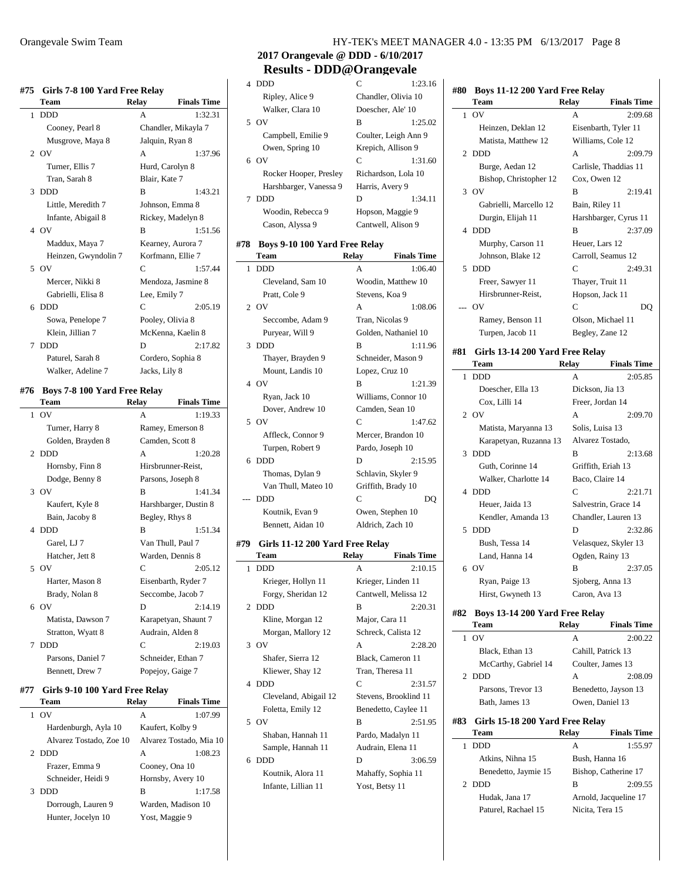#### **#75 Girls 7-8 100 Yard Free Relay**

|   | Team                 | Relav            | <b>Finals Time</b>  |
|---|----------------------|------------------|---------------------|
| 1 | <b>DDD</b>           | A                | 1:32.31             |
|   | Cooney, Pearl 8      |                  | Chandler, Mikayla 7 |
|   | Musgrove, Maya 8     | Jalquin, Ryan 8  |                     |
|   | $2$ OV               | A                | 1:37.96             |
|   | Turner, Ellis 7      | Hurd, Carolyn 8  |                     |
|   | Tran, Sarah 8        | Blair, Kate 7    |                     |
| 3 | <b>DDD</b>           | B                | 1:43.21             |
|   | Little, Meredith 7   |                  | Johnson, Emma 8     |
|   | Infante, Abigail 8   |                  | Rickey, Madelyn 8   |
|   | 4 OV                 | B                | 1:51.56             |
|   | Maddux, Maya 7       |                  | Kearney, Aurora 7   |
|   | Heinzen, Gwyndolin 7 |                  | Korfmann, Ellie 7   |
|   | 5 OV                 | C                | 1:57.44             |
|   | Mercer, Nikki 8      |                  | Mendoza, Jasmine 8  |
|   | Gabrielli, Elisa 8   | Lee, Emily 7     |                     |
| 6 | <b>DDD</b>           | C                | 2:05.19             |
|   | Sowa, Penelope 7     | Pooley, Olivia 8 |                     |
|   | Klein, Jillian 7     |                  | McKenna, Kaelin 8   |
| 7 | <b>DDD</b>           | D                | 2:17.82             |
|   | Paturel, Sarah 8     |                  | Cordero, Sophia 8   |
|   | Walker, Adeline 7    | Jacks, Lily 8    |                     |

#### **#76 Boys 7-8 100 Yard Free Relay**

|   | Team              | <b>Relay</b>   | <b>Finals Time</b>    |
|---|-------------------|----------------|-----------------------|
|   | $1$ OV            | $\mathsf{A}$   | 1:19.33               |
|   | Turner, Harry 8   |                | Ramey, Emerson 8      |
|   | Golden, Brayden 8 |                | Camden, Scott 8       |
|   | 2 DDD             | $\mathsf{A}$   | 1:20.28               |
|   | Hornsby, Finn 8   |                | Hirsbrunner-Reist,    |
|   | Dodge, Benny 8    |                | Parsons, Joseph 8     |
|   | 3.0V              | R              | 1:41.34               |
|   | Kaufert, Kyle 8   |                | Harshbarger, Dustin 8 |
|   | Bain, Jacoby 8    | Begley, Rhys 8 |                       |
|   | 4 DDD             | R              | 1:51.34               |
|   | Garel, LJ 7       |                | Van Thull, Paul 7     |
|   | Hatcher, Jett 8   |                | Warden, Dennis 8      |
|   | 5 OV              | C              | 2:05.12               |
|   | Harter, Mason 8   |                | Eisenbarth, Ryder 7   |
|   | Brady, Nolan 8    |                | Seccombe, Jacob 7     |
|   | 6 OV              | D              | 2:14.19               |
|   | Matista, Dawson 7 |                | Karapetyan, Shaunt 7  |
|   | Stratton, Wyatt 8 |                | Audrain, Alden 8      |
| 7 | <b>DDD</b>        | C              | 2:19.03               |
|   | Parsons, Daniel 7 |                | Schneider, Ethan 7    |
|   | Bennett, Drew 7   |                | Popejoy, Gaige 7      |
|   |                   |                |                       |

#### **#77 Girls 9-10 100 Yard Free Relay**

|               | Team                    | Relay          | <b>Finals Time</b>      |
|---------------|-------------------------|----------------|-------------------------|
|               | O <sub>V</sub>          | A              | 1:07.99                 |
|               | Hardenburgh, Ayla 10    |                | Kaufert, Kolby 9        |
|               | Alvarez Tostado, Zoe 10 |                | Alvarez Tostado, Mia 10 |
| $\mathcal{D}$ | <b>DDD</b>              | A              | 1:08.23                 |
|               | Frazer, Emma 9          | Cooney, Ona 10 |                         |
|               | Schneider, Heidi 9      |                | Hornsby, Avery 10       |
| 3             | <b>DDD</b>              | в              | 1:17.58                 |
|               | Dorrough, Lauren 9      |                | Warden, Madison 10      |
|               | Hunter, Jocelyn 10      | Yost, Maggie 9 |                         |
|               |                         |                |                         |

# **2017 Orangevale @ DDD - 6/10/2017 Results - DDD@Orangevale**

|   | 4 DDD                  | $\mathsf{C}$         | 1:23.16 |
|---|------------------------|----------------------|---------|
|   | Ripley, Alice 9        | Chandler, Olivia 10  |         |
|   | Walker, Clara 10       | Doescher, Ale' 10    |         |
|   | 5 OV                   | в                    | 1:25.02 |
|   | Campbell, Emilie 9     | Coulter, Leigh Ann 9 |         |
|   | Owen, Spring 10        | Krepich, Allison 9   |         |
|   | 6 OV                   | C                    | 1:31.60 |
|   | Rocker Hooper, Presley | Richardson, Lola 10  |         |
|   | Harshbarger, Vanessa 9 | Harris, Avery 9      |         |
| 7 | <b>DDD</b>             | D                    | 1:34.11 |
|   | Woodin, Rebecca 9      | Hopson, Maggie 9     |         |
|   | Cason, Alyssa 9        | Cantwell, Alison 9   |         |

#### **#78 Boys 9-10 100 Yard Free Relay**

|   | Team                | Relav           | <b>Finals Time</b>   |
|---|---------------------|-----------------|----------------------|
| 1 | <b>DDD</b>          | A               | 1:06.40              |
|   | Cleveland, Sam 10   |                 | Woodin, Matthew 10   |
|   | Pratt, Cole 9       | Stevens, Koa 9  |                      |
|   | 2 OV                | A               | 1:08.06              |
|   | Seccombe, Adam 9    | Tran, Nicolas 9 |                      |
|   | Puryear, Will 9     |                 | Golden, Nathaniel 10 |
| 3 | DDD                 | B               | 1:11.96              |
|   | Thayer, Brayden 9   |                 | Schneider, Mason 9   |
|   | Mount, Landis 10    | Lopez, Cruz 10  |                      |
|   | 4 OV                | B               | 1:21.39              |
|   | Ryan, Jack 10       |                 | Williams, Connor 10  |
|   | Dover, Andrew 10    |                 | Camden, Sean 10      |
| 5 | $\alpha$            | C               | 1:47.62              |
|   | Affleck, Connor 9   |                 | Mercer, Brandon 10   |
|   | Turpen, Robert 9    |                 | Pardo, Joseph 10     |
| 6 | <b>DDD</b>          | D               | 2:15.95              |
|   | Thomas, Dylan 9     |                 | Schlavin, Skyler 9   |
|   | Van Thull, Mateo 10 |                 | Griffith, Brady 10   |
|   | <b>DDD</b>          | $\mathsf{C}$    | DO                   |
|   | Koutnik, Evan 9     |                 | Owen, Stephen 10     |
|   | Bennett, Aidan 10   |                 | Aldrich, Zach 10     |

#### **#79 Girls 11-12 200 Yard Free Relay**

 $\sim$ 

|    | Team                  | Relay            | <b>Finals Time</b>    |
|----|-----------------------|------------------|-----------------------|
| 1  | <b>DDD</b>            | A                | 2:10.15               |
|    | Krieger, Hollyn 11    |                  | Krieger, Linden 11    |
|    | Forgy, Sheridan 12    |                  | Cantwell, Melissa 12  |
|    | 2 DDD                 | B                | 2:20.31               |
|    | Kline, Morgan 12      | Major, Cara 11   |                       |
|    | Morgan, Mallory 12    |                  | Schreck, Calista 12   |
|    | 3 OV                  | A                | 2:28.20               |
|    | Shafer, Sierra 12     |                  | Black, Cameron 11     |
|    | Kliewer, Shay 12      | Tran, Theresa 11 |                       |
|    | 4 DDD                 | C                | 2:31.57               |
|    | Cleveland, Abigail 12 |                  | Stevens, Brooklind 11 |
|    | Foletta, Emily 12     |                  | Benedetto, Caylee 11  |
|    | 5 OV                  | B                | 2:51.95               |
|    | Shaban, Hannah 11     |                  | Pardo, Madalyn 11     |
|    | Sample, Hannah 11     |                  | Audrain, Elena 11     |
| б. | <b>DDD</b>            | D                | 3:06.59               |
|    | Koutnik, Alora 11     |                  | Mahaffy, Sophia 11    |
|    | Infante, Lillian 11   | Yost, Betsy 11   |                       |
|    |                       |                  |                       |

| #80 | Boys 11-12 200 Yard Free Relay  |                 |                       |
|-----|---------------------------------|-----------------|-----------------------|
|     | Team                            | <b>Relay</b>    | <b>Finals Time</b>    |
| 1   | OV                              |                 | 2:09.68               |
|     | Heinzen, Deklan 12              |                 | Eisenbarth, Tyler 11  |
|     | Matista, Matthew 12             |                 | Williams, Cole 12     |
| 2   | <b>DDD</b>                      | А               | 2:09.79               |
|     | Burge, Aedan 12                 |                 | Carlisle, Thaddias 11 |
|     | Bishop, Christopher 12          | Cox, Owen 12    |                       |
| 3   | OV                              | B               | 2:19.41               |
|     | Gabrielli, Marcello 12          | Bain, Riley 11  |                       |
|     | Durgin, Elijah 11               |                 | Harshbarger, Cyrus 11 |
| 4   | <b>DDD</b>                      | B               | 2:37.09               |
|     | Murphy, Carson 11               | Heuer, Lars 12  |                       |
|     | Johnson, Blake 12               |                 | Carroll, Seamus 12    |
| 5   | <b>DDD</b>                      | C               | 2:49.31               |
|     | Freer, Sawyer 11                |                 | Thayer, Truit 11      |
|     | Hirsbrunner-Reist,              |                 | Hopson, Jack 11       |
|     | OV                              | C               | DO                    |
|     | Ramey, Benson 11                |                 | Olson, Michael 11     |
|     | Turpen, Jacob 11                |                 | Begley, Zane 12       |
| #81 | Girls 13-14 200 Yard Free Relay |                 |                       |
|     | Team                            | Relay           | <b>Finals Time</b>    |
| 1   | <b>DDD</b>                      | А               | 2:05.85               |
|     | Doescher, Ella 13               |                 | Dickson, Jia 13       |
|     | Cox, Lilli 14                   |                 | Freer, Jordan 14      |
| 2   | OV                              | А               | 2:09.70               |
|     | Matista, Maryanna 13            | Solis, Luisa 13 |                       |
|     | Karapetyan, Ruzanna 13          |                 | Alvarez Tostado,      |
| 3   | <b>DDD</b>                      | B               | 2:13.68               |
|     | Guth, Corinne 14                |                 | Griffith, Eriah 13    |
|     | Walker, Charlotte 14            |                 | Baco, Claire 14       |
| 4   | <b>DDD</b>                      | C               | 2:21.71               |
|     | Heuer, Jaida 13                 |                 | Salvestrin, Grace 14  |
|     | Kendler, Amanda 13              |                 | Chandler, Lauren 13   |
| 5   | <b>DDD</b>                      | D               | 2:32.86               |
|     | Bush, Tessa 14                  |                 | Velasquez, Skyler 13  |
|     | Land, Hanna 14                  |                 | Ogden, Rainy 13       |
| 6   | OV                              | в               | 2:37.05               |
|     | Ryan, Paige 13                  |                 | Sjoberg, Anna 13      |
|     | Hirst, Gwyneth 13               | Caron, Ava 13   |                       |
| #82 | Boys 13-14 200 Yard Free Relay  |                 |                       |
|     | Team                            | Relay           | <b>Finals Time</b>    |
| 1   | OV                              | А               | 2:00.22               |
|     | $D$ lack $E$ thon 12            |                 | $C0$ hill Dotrick 12  |

|     | ιυν                             | $\mathsf{A}$       | 2300.ZZ               |
|-----|---------------------------------|--------------------|-----------------------|
|     | Black, Ethan 13                 | Cahill, Patrick 13 |                       |
|     | McCarthy, Gabriel 14            |                    | Coulter, James 13     |
|     | 2 DDD                           | A                  | 2:08.09               |
|     | Parsons, Trevor 13              |                    | Benedetto, Jayson 13  |
|     | Bath, James 13                  | Owen, Daniel 13    |                       |
|     |                                 |                    |                       |
| #83 | Girls 15-18 200 Yard Free Relay |                    |                       |
|     | Team                            | Relay              | <b>Finals Time</b>    |
| 1   | <b>DDD</b>                      | A                  | 1:55.97               |
|     | Atkins, Nihna 15                | Bush, Hanna 16     |                       |
|     | Benedetto, Jaymie 15            |                    | Bishop, Catherine 17  |
|     | 2 DDD                           | B                  | 2:09.55               |
|     | Hudak, Jana 17                  |                    | Arnold, Jacqueline 17 |